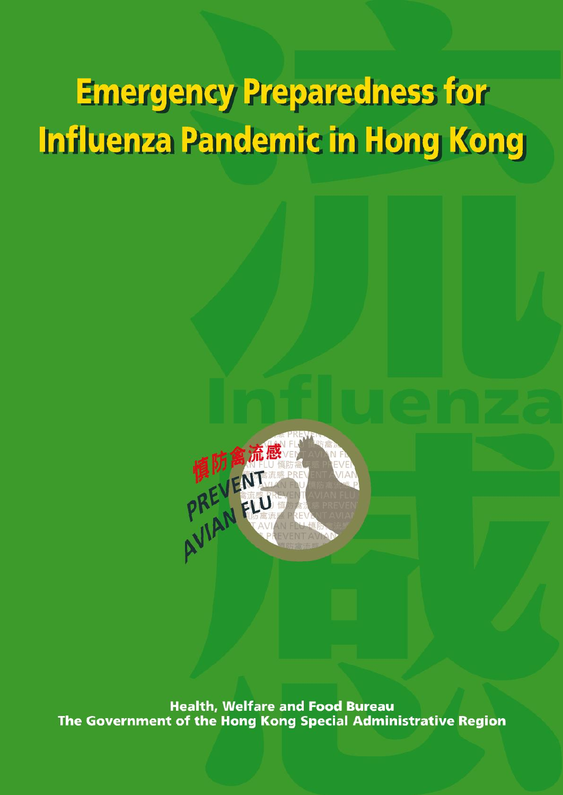# **Emergency Preparedness for** Influenza Pandemic in Hong Kong



**Health, Welfare and Food Bureau** The Government of the Hong Kong Special Administrative Region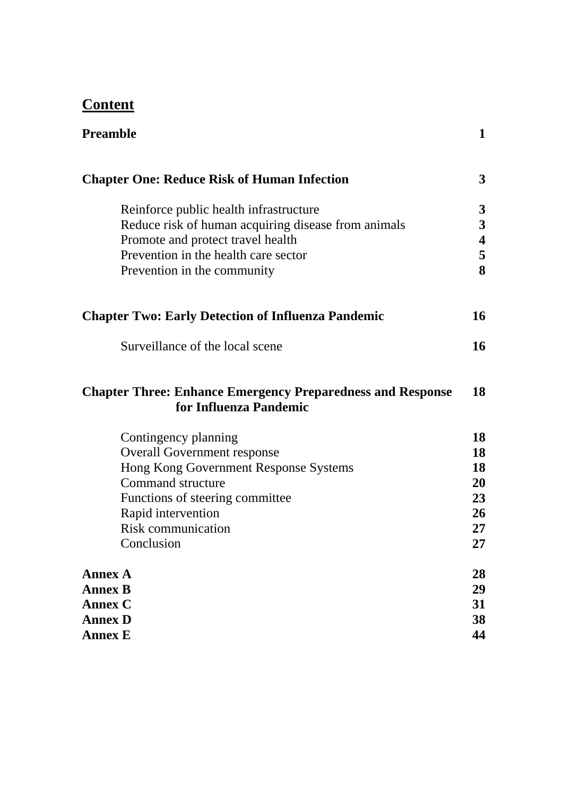# **Content**

| <b>Preamble</b>                                                                             | $\mathbf{1}$ |
|---------------------------------------------------------------------------------------------|--------------|
| <b>Chapter One: Reduce Risk of Human Infection</b>                                          | 3            |
| Reinforce public health infrastructure                                                      | 3            |
| Reduce risk of human acquiring disease from animals                                         | 3            |
| Promote and protect travel health                                                           | 4            |
| Prevention in the health care sector                                                        | 5            |
| Prevention in the community                                                                 | 8            |
| <b>Chapter Two: Early Detection of Influenza Pandemic</b>                                   | 16           |
| Surveillance of the local scene                                                             | 16           |
| <b>Chapter Three: Enhance Emergency Preparedness and Response</b><br>for Influenza Pandemic | 18           |
| Contingency planning                                                                        | 18           |
| <b>Overall Government response</b>                                                          | 18           |
| Hong Kong Government Response Systems                                                       | 18           |
| <b>Command structure</b>                                                                    | 20           |
| Functions of steering committee                                                             | 23           |
| Rapid intervention                                                                          | 26           |
| <b>Risk communication</b>                                                                   | 27           |
| Conclusion                                                                                  | 27           |
| <b>Annex A</b>                                                                              | 28           |
| <b>Annex B</b>                                                                              | 29           |
| Annex C                                                                                     | 31           |
| <b>Annex D</b>                                                                              | 38           |
| <b>Annex E</b>                                                                              | 44           |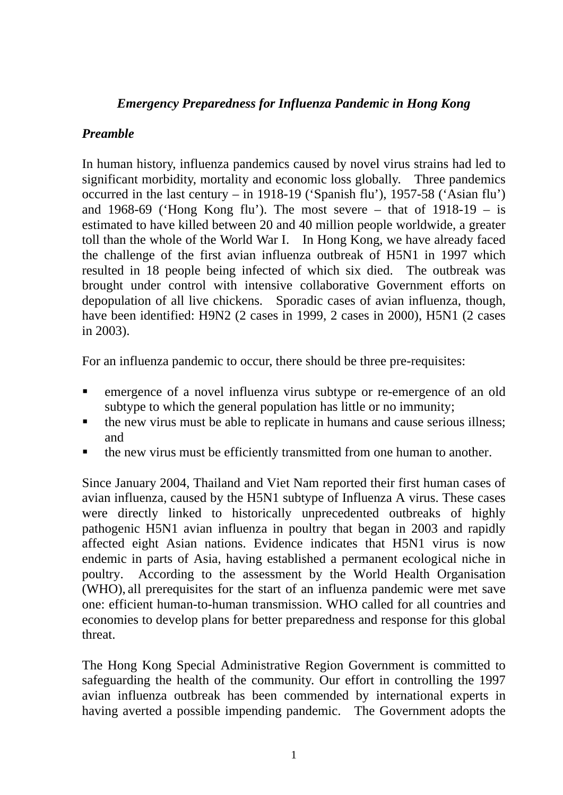# *Emergency Preparedness for Influenza Pandemic in Hong Kong*

# *Preamble*

In human history, influenza pandemics caused by novel virus strains had led to significant morbidity, mortality and economic loss globally. Three pandemics occurred in the last century – in 1918-19 ('Spanish flu'), 1957-58 ('Asian flu') and 1968-69 ('Hong Kong flu'). The most severe – that of  $1918-19 - is$ estimated to have killed between 20 and 40 million people worldwide, a greater toll than the whole of the World War I. In Hong Kong, we have already faced the challenge of the first avian influenza outbreak of H5N1 in 1997 which resulted in 18 people being infected of which six died. The outbreak was brought under control with intensive collaborative Government efforts on depopulation of all live chickens. Sporadic cases of avian influenza, though, have been identified: H9N2 (2 cases in 1999, 2 cases in 2000), H5N1 (2 cases in 2003).

For an influenza pandemic to occur, there should be three pre-requisites:

- emergence of a novel influenza virus subtype or re-emergence of an old subtype to which the general population has little or no immunity;
- the new virus must be able to replicate in humans and cause serious illness; and
- the new virus must be efficiently transmitted from one human to another.

Since January 2004, Thailand and Viet Nam reported their first human cases of avian influenza, caused by the H5N1 subtype of Influenza A virus. These cases were directly linked to historically unprecedented outbreaks of highly pathogenic H5N1 avian influenza in poultry that began in 2003 and rapidly affected eight Asian nations. Evidence indicates that H5N1 virus is now endemic in parts of Asia, having established a permanent ecological niche in poultry. According to the assessment by the World Health Organisation (WHO), all prerequisites for the start of an influenza pandemic were met save one: efficient human-to-human transmission. WHO called for all countries and economies to develop plans for better preparedness and response for this global threat.

The Hong Kong Special Administrative Region Government is committed to safeguarding the health of the community. Our effort in controlling the 1997 avian influenza outbreak has been commended by international experts in having averted a possible impending pandemic. The Government adopts the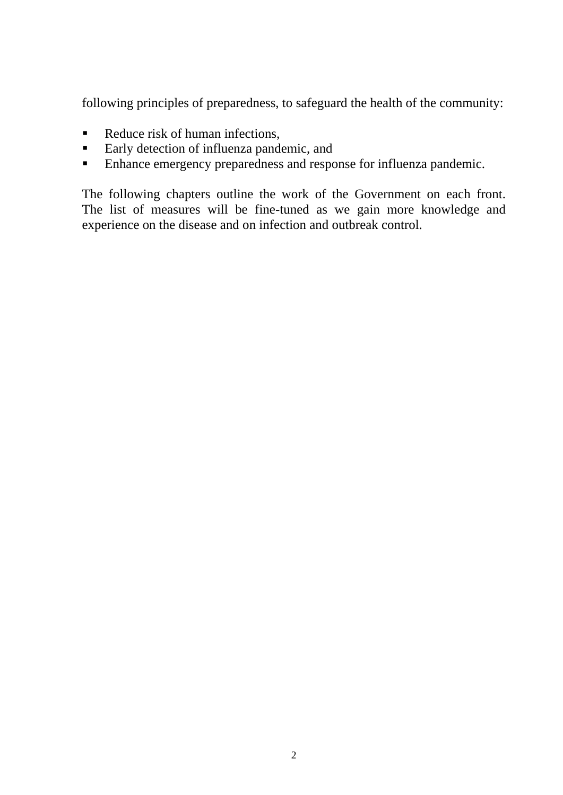following principles of preparedness, to safeguard the health of the community:

- Reduce risk of human infections,
- **Early detection of influenza pandemic, and**
- **Enhance emergency preparedness and response for influenza pandemic.**

The following chapters outline the work of the Government on each front. The list of measures will be fine-tuned as we gain more knowledge and experience on the disease and on infection and outbreak control.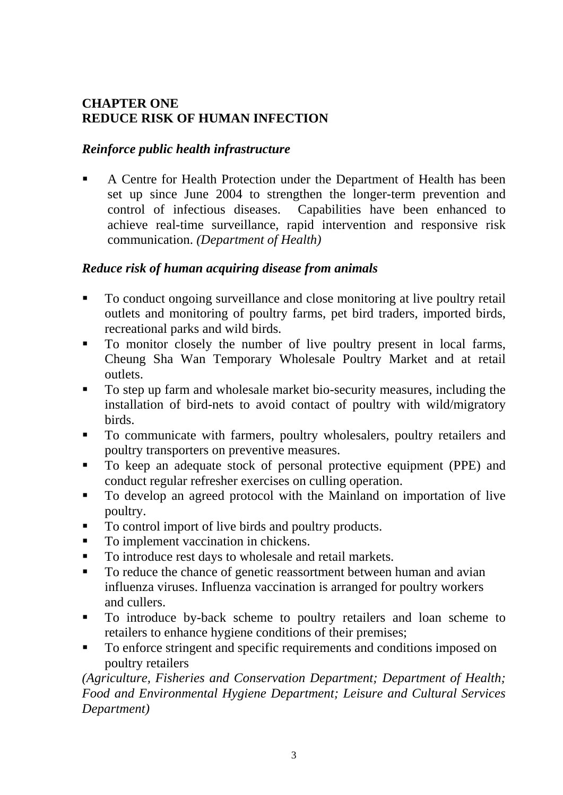# **CHAPTER ONE REDUCE RISK OF HUMAN INFECTION**

#### *Reinforce public health infrastructure*

A Centre for Health Protection under the Department of Health has been set up since June 2004 to strengthen the longer-term prevention and control of infectious diseases. Capabilities have been enhanced to achieve real-time surveillance, rapid intervention and responsive risk communication. *(Department of Health)* 

#### *Reduce risk of human acquiring disease from animals*

- To conduct ongoing surveillance and close monitoring at live poultry retail outlets and monitoring of poultry farms, pet bird traders, imported birds, recreational parks and wild birds.
- To monitor closely the number of live poultry present in local farms, Cheung Sha Wan Temporary Wholesale Poultry Market and at retail outlets.
- To step up farm and wholesale market bio-security measures, including the installation of bird-nets to avoid contact of poultry with wild/migratory birds.
- To communicate with farmers, poultry wholesalers, poultry retailers and poultry transporters on preventive measures.
- To keep an adequate stock of personal protective equipment (PPE) and conduct regular refresher exercises on culling operation.
- To develop an agreed protocol with the Mainland on importation of live poultry.
- To control import of live birds and poultry products.
- To implement vaccination in chickens.
- To introduce rest days to wholesale and retail markets.
- To reduce the chance of genetic reassortment between human and avian influenza viruses. Influenza vaccination is arranged for poultry workers and cullers.
- To introduce by-back scheme to poultry retailers and loan scheme to retailers to enhance hygiene conditions of their premises;
- To enforce stringent and specific requirements and conditions imposed on poultry retailers

*(Agriculture, Fisheries and Conservation Department; Department of Health; Food and Environmental Hygiene Department; Leisure and Cultural Services Department)*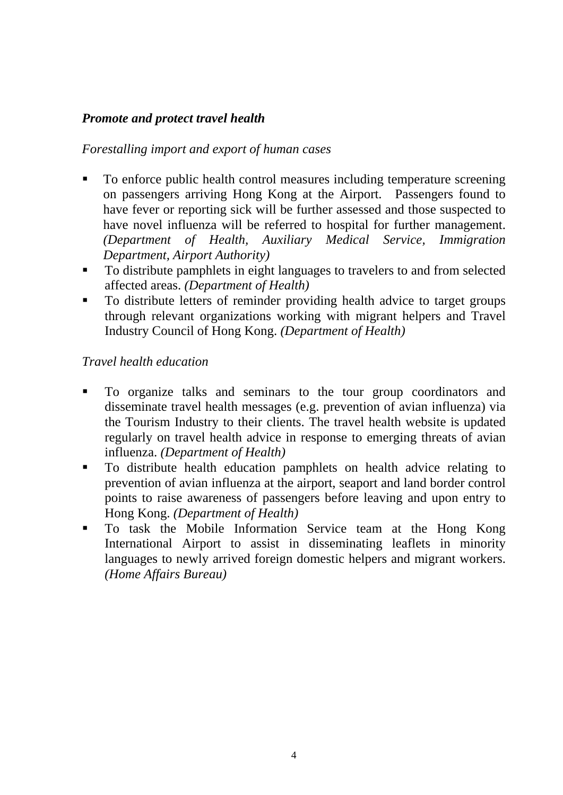# *Promote and protect travel health*

### *Forestalling import and export of human cases*

- To enforce public health control measures including temperature screening on passengers arriving Hong Kong at the Airport. Passengers found to have fever or reporting sick will be further assessed and those suspected to have novel influenza will be referred to hospital for further management. *(Department of Health, Auxiliary Medical Service, Immigration Department, Airport Authority)*
- To distribute pamphlets in eight languages to travelers to and from selected affected areas. *(Department of Health)*
- To distribute letters of reminder providing health advice to target groups through relevant organizations working with migrant helpers and Travel Industry Council of Hong Kong. *(Department of Health)*

### *Travel health education*

- To organize talks and seminars to the tour group coordinators and disseminate travel health messages (e.g. prevention of avian influenza) via the Tourism Industry to their clients. The travel health website is updated regularly on travel health advice in response to emerging threats of avian influenza. *(Department of Health)*
- To distribute health education pamphlets on health advice relating to prevention of avian influenza at the airport, seaport and land border control points to raise awareness of passengers before leaving and upon entry to Hong Kong. *(Department of Health)*
- To task the Mobile Information Service team at the Hong Kong International Airport to assist in disseminating leaflets in minority languages to newly arrived foreign domestic helpers and migrant workers. *(Home Affairs Bureau)*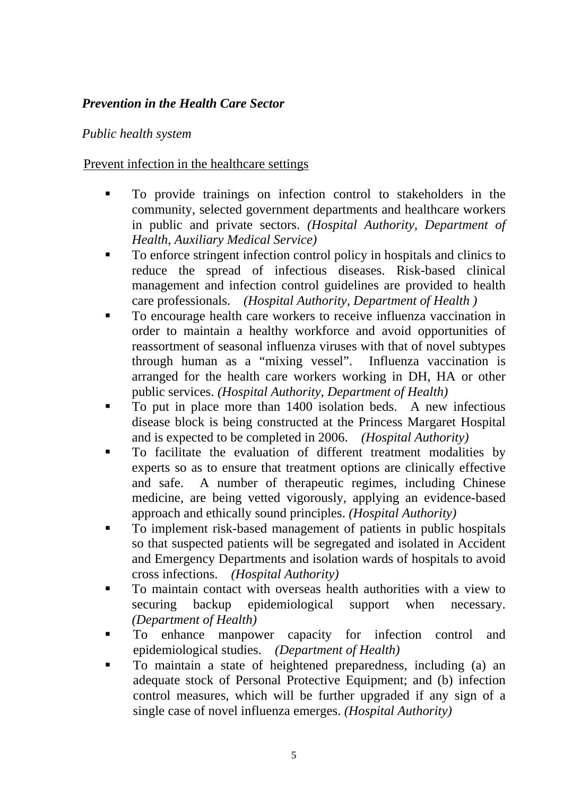# *Prevention in the Health Care Sector*

# *Public health system*

### Prevent infection in the healthcare settings

- To provide trainings on infection control to stakeholders in the community, selected government departments and healthcare workers in public and private sectors. *(Hospital Authority, Department of Health, Auxiliary Medical Service)*
- To enforce stringent infection control policy in hospitals and clinics to reduce the spread of infectious diseases. Risk-based clinical management and infection control guidelines are provided to health care professionals. *(Hospital Authority, Department of Health )*
- To encourage health care workers to receive influenza vaccination in order to maintain a healthy workforce and avoid opportunities of reassortment of seasonal influenza viruses with that of novel subtypes through human as a "mixing vessel". Influenza vaccination is arranged for the health care workers working in DH, HA or other public services. *(Hospital Authority, Department of Health)*
- To put in place more than 1400 isolation beds. A new infectious disease block is being constructed at the Princess Margaret Hospital and is expected to be completed in 2006. *(Hospital Authority)*
- To facilitate the evaluation of different treatment modalities by experts so as to ensure that treatment options are clinically effective and safe. A number of therapeutic regimes, including Chinese medicine, are being vetted vigorously, applying an evidence-based approach and ethically sound principles. *(Hospital Authority)*
- To implement risk-based management of patients in public hospitals so that suspected patients will be segregated and isolated in Accident and Emergency Departments and isolation wards of hospitals to avoid cross infections. *(Hospital Authority)*
- To maintain contact with overseas health authorities with a view to securing backup epidemiological support when necessary. *(Department of Health)*
- To enhance manpower capacity for infection control and epidemiological studies. *(Department of Health)*
- To maintain a state of heightened preparedness, including (a) an adequate stock of Personal Protective Equipment; and (b) infection control measures, which will be further upgraded if any sign of a single case of novel influenza emerges. *(Hospital Authority)*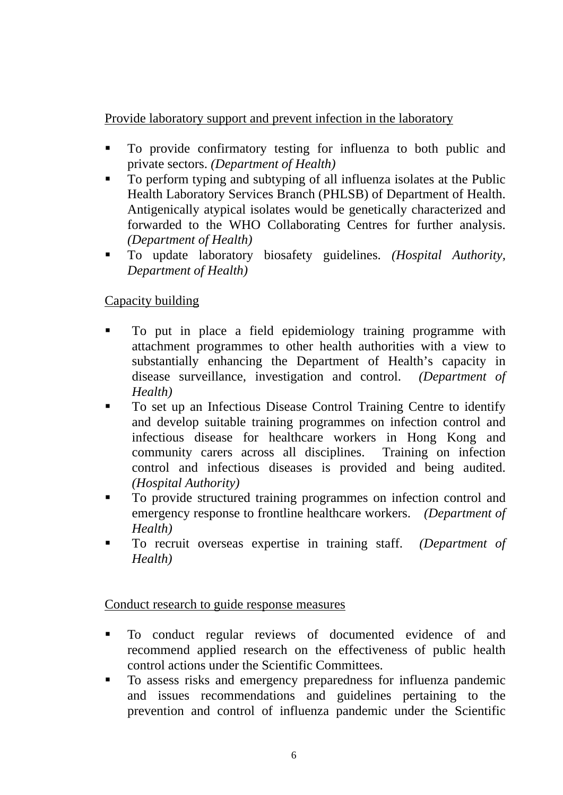Provide laboratory support and prevent infection in the laboratory

- To provide confirmatory testing for influenza to both public and private sectors. *(Department of Health)*
- To perform typing and subtyping of all influenza isolates at the Public Health Laboratory Services Branch (PHLSB) of Department of Health. Antigenically atypical isolates would be genetically characterized and forwarded to the WHO Collaborating Centres for further analysis. *(Department of Health)*
- To update laboratory biosafety guidelines. *(Hospital Authority, Department of Health)*

# Capacity building

- To put in place a field epidemiology training programme with attachment programmes to other health authorities with a view to substantially enhancing the Department of Health's capacity in disease surveillance, investigation and control. *(Department of Health)*
- To set up an Infectious Disease Control Training Centre to identify and develop suitable training programmes on infection control and infectious disease for healthcare workers in Hong Kong and community carers across all disciplines. Training on infection control and infectious diseases is provided and being audited. *(Hospital Authority)*
- To provide structured training programmes on infection control and emergency response to frontline healthcare workers. *(Department of Health)*
- To recruit overseas expertise in training staff. *(Department of Health)*

# Conduct research to guide response measures

- To conduct regular reviews of documented evidence of and recommend applied research on the effectiveness of public health control actions under the Scientific Committees.
- To assess risks and emergency preparedness for influenza pandemic and issues recommendations and guidelines pertaining to the prevention and control of influenza pandemic under the Scientific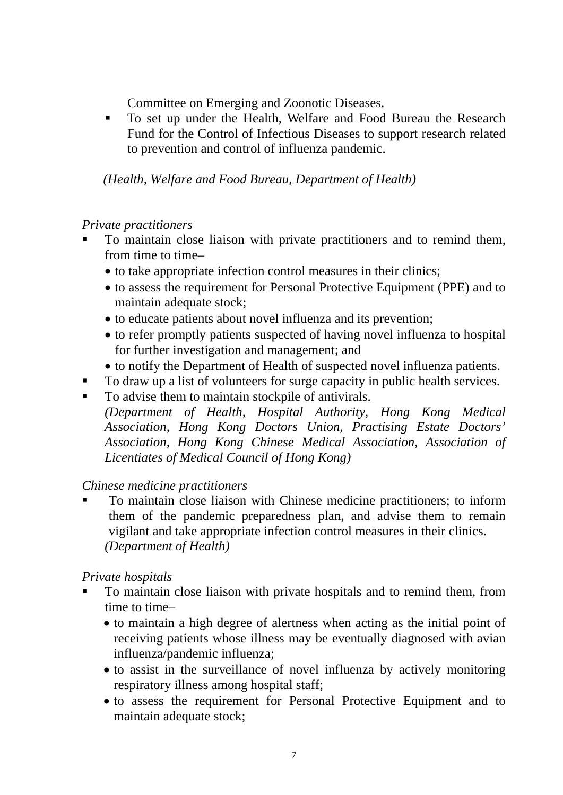Committee on Emerging and Zoonotic Diseases.

To set up under the Health, Welfare and Food Bureau the Research Fund for the Control of Infectious Diseases to support research related to prevention and control of influenza pandemic.

*(Health, Welfare and Food Bureau, Department of Health)* 

#### *Private practitioners*

- To maintain close liaison with private practitioners and to remind them, from time to time-
	- to take appropriate infection control measures in their clinics;
	- to assess the requirement for Personal Protective Equipment (PPE) and to maintain adequate stock;
	- to educate patients about novel influenza and its prevention;
	- to refer promptly patients suspected of having novel influenza to hospital for further investigation and management; and
	- to notify the Department of Health of suspected novel influenza patients.
- To draw up a list of volunteers for surge capacity in public health services.
- To advise them to maintain stockpile of antivirals. *(Department of Health, Hospital Authority, Hong Kong Medical Association, Hong Kong Doctors Union, Practising Estate Doctors' Association, Hong Kong Chinese Medical Association, Association of Licentiates of Medical Council of Hong Kong)*

#### *Chinese medicine practitioners*

 To maintain close liaison with Chinese medicine practitioners; to inform them of the pandemic preparedness plan, and advise them to remain vigilant and take appropriate infection control measures in their clinics. *(Department of Health)*

# *Private hospitals*

- To maintain close liaison with private hospitals and to remind them, from time to time–
	- to maintain a high degree of alertness when acting as the initial point of receiving patients whose illness may be eventually diagnosed with avian influenza/pandemic influenza;
	- to assist in the surveillance of novel influenza by actively monitoring respiratory illness among hospital staff;
	- to assess the requirement for Personal Protective Equipment and to maintain adequate stock;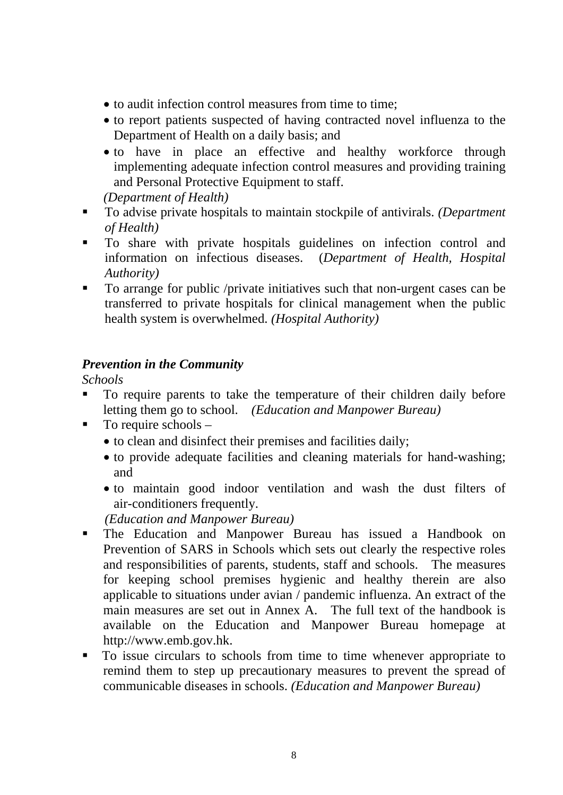- to audit infection control measures from time to time;
- to report patients suspected of having contracted novel influenza to the Department of Health on a daily basis; and
- to have in place an effective and healthy workforce through implementing adequate infection control measures and providing training and Personal Protective Equipment to staff.

*(Department of Health)*

- To advise private hospitals to maintain stockpile of antivirals. *(Department*) *of Health)*
- To share with private hospitals guidelines on infection control and information on infectious diseases. (*Department of Health, Hospital Authority)*
- To arrange for public /private initiatives such that non-urgent cases can be transferred to private hospitals for clinical management when the public health system is overwhelmed. *(Hospital Authority)*

#### *Prevention in the Community*

*Schools* 

- To require parents to take the temperature of their children daily before letting them go to school. *(Education and Manpower Bureau)*
- $\blacksquare$  To require schools
	- to clean and disinfect their premises and facilities daily;
	- to provide adequate facilities and cleaning materials for hand-washing; and
	- to maintain good indoor ventilation and wash the dust filters of air-conditioners frequently.

*(Education and Manpower Bureau)*

- The Education and Manpower Bureau has issued a Handbook on Prevention of SARS in Schools which sets out clearly the respective roles and responsibilities of parents, students, staff and schools. The measures for keeping school premises hygienic and healthy therein are also applicable to situations under avian / pandemic influenza. An extract of the main measures are set out in Annex A. The full text of the handbook is available on the Education and Manpower Bureau homepage at http://www.emb.gov.hk.
- To issue circulars to schools from time to time whenever appropriate to remind them to step up precautionary measures to prevent the spread of communicable diseases in schools. *(Education and Manpower Bureau)*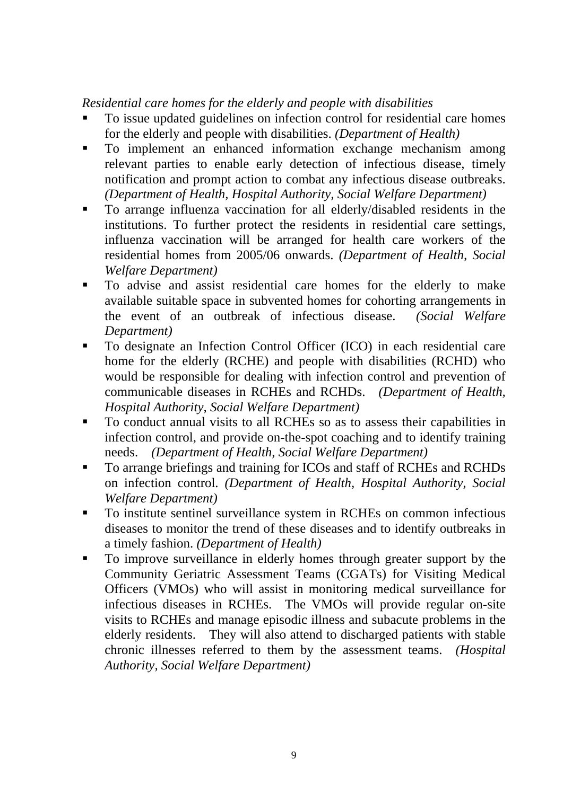*Residential care homes for the elderly and people with disabilities* 

- To issue updated guidelines on infection control for residential care homes for the elderly and people with disabilities. *(Department of Health)*
- To implement an enhanced information exchange mechanism among relevant parties to enable early detection of infectious disease, timely notification and prompt action to combat any infectious disease outbreaks. *(Department of Health, Hospital Authority, Social Welfare Department)*
- To arrange influenza vaccination for all elderly/disabled residents in the institutions. To further protect the residents in residential care settings, influenza vaccination will be arranged for health care workers of the residential homes from 2005/06 onwards. *(Department of Health, Social Welfare Department)*
- To advise and assist residential care homes for the elderly to make available suitable space in subvented homes for cohorting arrangements in the event of an outbreak of infectious disease. *(Social Welfare Department)*
- To designate an Infection Control Officer (ICO) in each residential care home for the elderly (RCHE) and people with disabilities (RCHD) who would be responsible for dealing with infection control and prevention of communicable diseases in RCHEs and RCHDs. *(Department of Health, Hospital Authority, Social Welfare Department)*
- To conduct annual visits to all RCHEs so as to assess their capabilities in infection control, and provide on-the-spot coaching and to identify training needs. *(Department of Health, Social Welfare Department)*
- To arrange briefings and training for ICOs and staff of RCHEs and RCHDs on infection control. *(Department of Health, Hospital Authority, Social Welfare Department)*
- To institute sentinel surveillance system in RCHEs on common infectious diseases to monitor the trend of these diseases and to identify outbreaks in a timely fashion. *(Department of Health)*
- To improve surveillance in elderly homes through greater support by the Community Geriatric Assessment Teams (CGATs) for Visiting Medical Officers (VMOs) who will assist in monitoring medical surveillance for infectious diseases in RCHEs. The VMOs will provide regular on-site visits to RCHEs and manage episodic illness and subacute problems in the elderly residents. They will also attend to discharged patients with stable chronic illnesses referred to them by the assessment teams. *(Hospital Authority, Social Welfare Department)*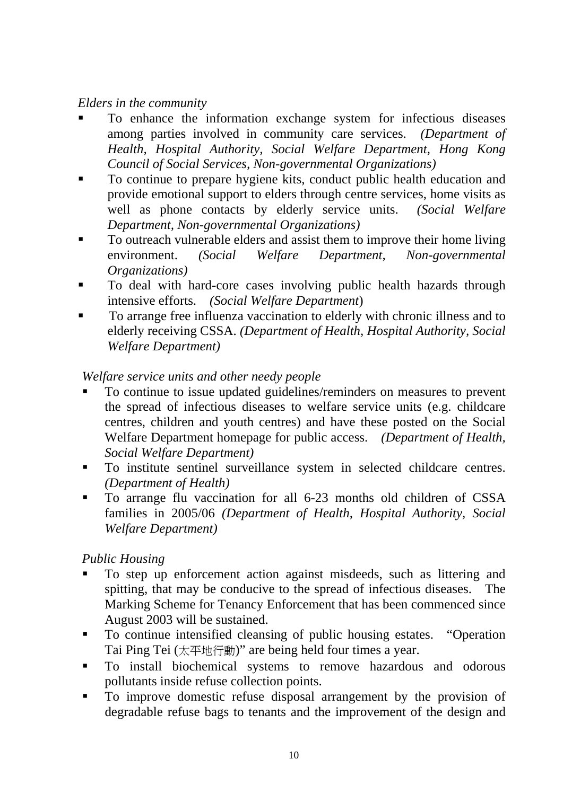#### *Elders in the community*

- To enhance the information exchange system for infectious diseases among parties involved in community care services. *(Department of Health, Hospital Authority, Social Welfare Department, Hong Kong Council of Social Services, Non-governmental Organizations)*
- To continue to prepare hygiene kits, conduct public health education and provide emotional support to elders through centre services, home visits as well as phone contacts by elderly service units. *(Social Welfare Department, Non-governmental Organizations)*
- To outreach vulnerable elders and assist them to improve their home living environment. *(Social Welfare Department, Non-governmental Organizations)*
- To deal with hard-core cases involving public health hazards through intensive efforts. *(Social Welfare Department*)
- To arrange free influenza vaccination to elderly with chronic illness and to elderly receiving CSSA. *(Department of Health, Hospital Authority, Social Welfare Department)*

#### *Welfare service units and other needy people*

- To continue to issue updated guidelines/reminders on measures to prevent the spread of infectious diseases to welfare service units (e.g. childcare centres, children and youth centres) and have these posted on the Social Welfare Department homepage for public access. *(Department of Health, Social Welfare Department)*
- To institute sentinel surveillance system in selected childcare centres. *(Department of Health)*
- To arrange flu vaccination for all 6-23 months old children of CSSA families in 2005/06 *(Department of Health, Hospital Authority, Social Welfare Department)*

#### *Public Housing*

- To step up enforcement action against misdeeds, such as littering and spitting, that may be conducive to the spread of infectious diseases. The Marking Scheme for Tenancy Enforcement that has been commenced since August 2003 will be sustained.
- To continue intensified cleansing of public housing estates. "Operation Tai Ping Tei (太平地行動)" are being held four times a year.
- $\blacksquare$  To install biochemical systems to remove hazardous and odorous pollutants inside refuse collection points.
- To improve domestic refuse disposal arrangement by the provision of degradable refuse bags to tenants and the improvement of the design and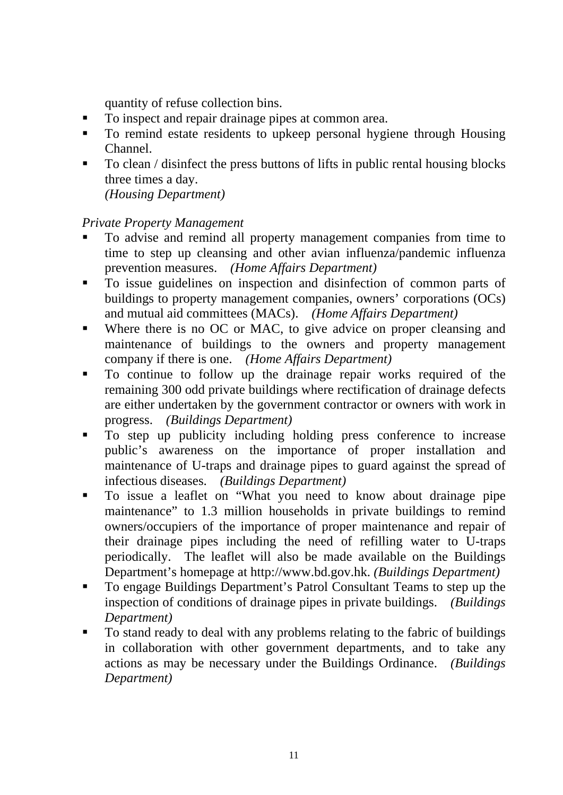quantity of refuse collection bins.

- To inspect and repair drainage pipes at common area.
- To remind estate residents to upkeep personal hygiene through Housing Channel.
- To clean / disinfect the press buttons of lifts in public rental housing blocks three times a day.

*(Housing Department)* 

### *Private Property Management*

- To advise and remind all property management companies from time to time to step up cleansing and other avian influenza/pandemic influenza prevention measures. *(Home Affairs Department)*
- To issue guidelines on inspection and disinfection of common parts of buildings to property management companies, owners' corporations (OCs) and mutual aid committees (MACs). *(Home Affairs Department)*
- Where there is no OC or MAC, to give advice on proper cleansing and maintenance of buildings to the owners and property management company if there is one. *(Home Affairs Department)*
- To continue to follow up the drainage repair works required of the remaining 300 odd private buildings where rectification of drainage defects are either undertaken by the government contractor or owners with work in progress. *(Buildings Department)*
- To step up publicity including holding press conference to increase public's awareness on the importance of proper installation and maintenance of U-traps and drainage pipes to guard against the spread of infectious diseases. *(Buildings Department)*
- To issue a leaflet on "What you need to know about drainage pipe maintenance" to 1.3 million households in private buildings to remind owners/occupiers of the importance of proper maintenance and repair of their drainage pipes including the need of refilling water to U-traps periodically. The leaflet will also be made available on the Buildings Department's homepage at http://[www.bd.gov.hk](http://www.bd.gov.hk/). *(Buildings Department)*
- To engage Buildings Department's Patrol Consultant Teams to step up the inspection of conditions of drainage pipes in private buildings. *(Buildings Department)*
- To stand ready to deal with any problems relating to the fabric of buildings in collaboration with other government departments, and to take any actions as may be necessary under the Buildings Ordinance. *(Buildings Department)*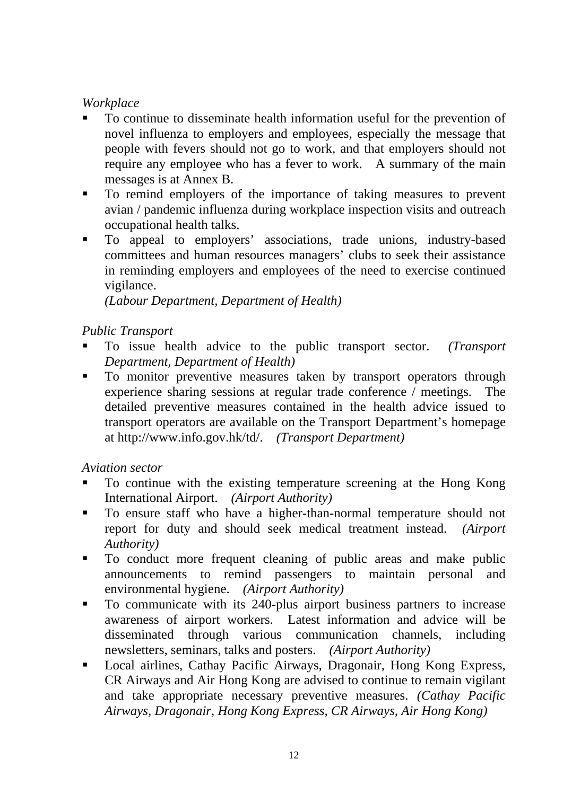# *Workplace*

- To continue to disseminate health information useful for the prevention of novel influenza to employers and employees, especially the message that people with fevers should not go to work, and that employers should not require any employee who has a fever to work. A summary of the main messages is at Annex B.
- To remind employers of the importance of taking measures to prevent avian / pandemic influenza during workplace inspection visits and outreach occupational health talks.
- To appeal to employers' associations, trade unions, industry-based committees and human resources managers' clubs to seek their assistance in reminding employers and employees of the need to exercise continued vigilance.

*(Labour Department, Department of Health)*

### *Public Transport*

- To issue health advice to the public transport sector. *(Transport Department, Department of Health)*
- $\blacksquare$  To monitor preventive measures taken by transport operators through experience sharing sessions at regular trade conference / meetings. The detailed preventive measures contained in the health advice issued to transport operators are available on the Transport Department's homepage at http://www.info.gov.hk/td/. *(Transport Department)*

*Aviation sector*

- To continue with the existing temperature screening at the Hong Kong International Airport. *(Airport Authority)*
- To ensure staff who have a higher-than-normal temperature should not report for duty and should seek medical treatment instead. *(Airport Authority)*
- To conduct more frequent cleaning of public areas and make public announcements to remind passengers to maintain personal and environmental hygiene. *(Airport Authority)*
- To communicate with its 240-plus airport business partners to increase awareness of airport workers. Latest information and advice will be disseminated through various communication channels, including newsletters, seminars, talks and posters. *(Airport Authority)*
- Local airlines, Cathay Pacific Airways, Dragonair, Hong Kong Express, CR Airways and Air Hong Kong are advised to continue to remain vigilant and take appropriate necessary preventive measures. *(Cathay Pacific Airways, Dragonair, Hong Kong Express, CR Airways, Air Hong Kong)*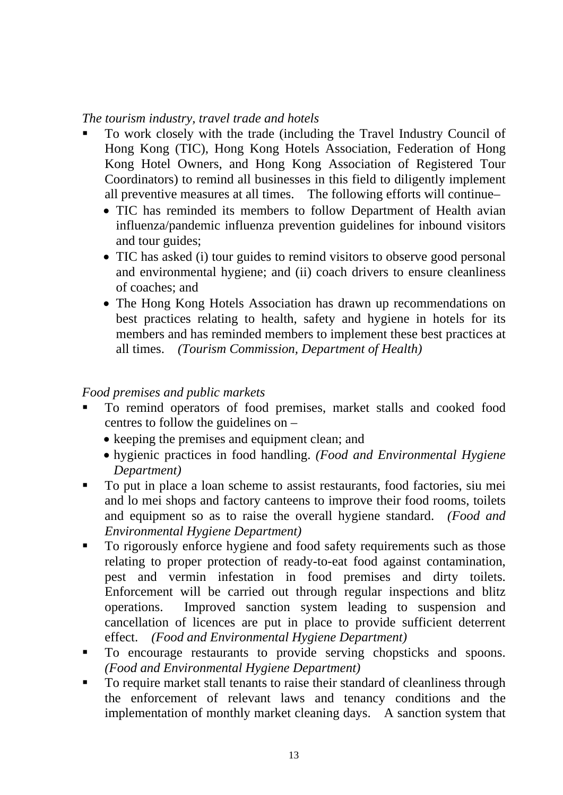#### *The tourism industry, travel trade and hotels*

- To work closely with the trade (including the Travel Industry Council of Hong Kong (TIC), Hong Kong Hotels Association, Federation of Hong Kong Hotel Owners, and Hong Kong Association of Registered Tour Coordinators) to remind all businesses in this field to diligently implement all preventive measures at all times. The following efforts will continue–
	- TIC has reminded its members to follow Department of Health avian influenza/pandemic influenza prevention guidelines for inbound visitors and tour guides;
	- TIC has asked (i) tour guides to remind visitors to observe good personal and environmental hygiene; and (ii) coach drivers to ensure cleanliness of coaches; and
	- The Hong Kong Hotels Association has drawn up recommendations on best practices relating to health, safety and hygiene in hotels for its members and has reminded members to implement these best practices at all times. *(Tourism Commission, Department of Health)*

### *Food premises and public markets*

- To remind operators of food premises, market stalls and cooked food centres to follow the guidelines on –
	- keeping the premises and equipment clean; and
	- hygienic practices in food handling. *(Food and Environmental Hygiene Department)*
- To put in place a loan scheme to assist restaurants, food factories, siu mei and lo mei shops and factory canteens to improve their food rooms, toilets and equipment so as to raise the overall hygiene standard. *(Food and Environmental Hygiene Department)*
- To rigorously enforce hygiene and food safety requirements such as those relating to proper protection of ready-to-eat food against contamination, pest and vermin infestation in food premises and dirty toilets. Enforcement will be carried out through regular inspections and blitz operations. Improved sanction system leading to suspension and cancellation of licences are put in place to provide sufficient deterrent effect. *(Food and Environmental Hygiene Department)*
- $\blacksquare$  To encourage restaurants to provide serving chopsticks and spoons. *(Food and Environmental Hygiene Department)*
- To require market stall tenants to raise their standard of cleanliness through the enforcement of relevant laws and tenancy conditions and the implementation of monthly market cleaning days. A sanction system that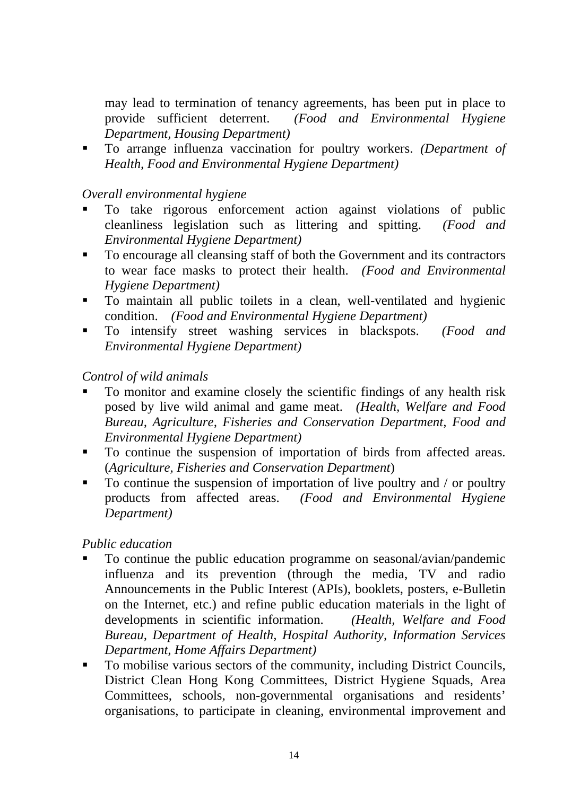may lead to termination of tenancy agreements, has been put in place to provide sufficient deterrent. *(Food and Environmental Hygiene Department, Housing Department)*

 To arrange influenza vaccination for poultry workers. *(Department of Health, Food and Environmental Hygiene Department)*

#### *Overall environmental hygiene*

- To take rigorous enforcement action against violations of public cleanliness legislation such as littering and spitting. *(Food and Environmental Hygiene Department)*
- To encourage all cleansing staff of both the Government and its contractors to wear face masks to protect their health. *(Food and Environmental Hygiene Department)*
- To maintain all public toilets in a clean, well-ventilated and hygienic condition. *(Food and Environmental Hygiene Department)*
- To intensify street washing services in blackspots. *(Food and Environmental Hygiene Department)*

#### *Control of wild animals*

- To monitor and examine closely the scientific findings of any health risk posed by live wild animal and game meat. *(Health, Welfare and Food Bureau, Agriculture, Fisheries and Conservation Department, Food and Environmental Hygiene Department)*
- To continue the suspension of importation of birds from affected areas. (*Agriculture, Fisheries and Conservation Department*)
- $\blacksquare$  To continue the suspension of importation of live poultry and / or poultry products from affected areas. *(Food and Environmental Hygiene Department)*

#### *Public education*

- To continue the public education programme on seasonal/avian/pandemic influenza and its prevention (through the media, TV and radio Announcements in the Public Interest (APIs), booklets, posters, e-Bulletin on the Internet, etc.) and refine public education materials in the light of developments in scientific information. *(Health, Welfare and Food Bureau, Department of Health, Hospital Authority, Information Services Department, Home Affairs Department)*
- To mobilise various sectors of the community, including District Councils, District Clean Hong Kong Committees, District Hygiene Squads, Area Committees, schools, non-governmental organisations and residents' organisations, to participate in cleaning, environmental improvement and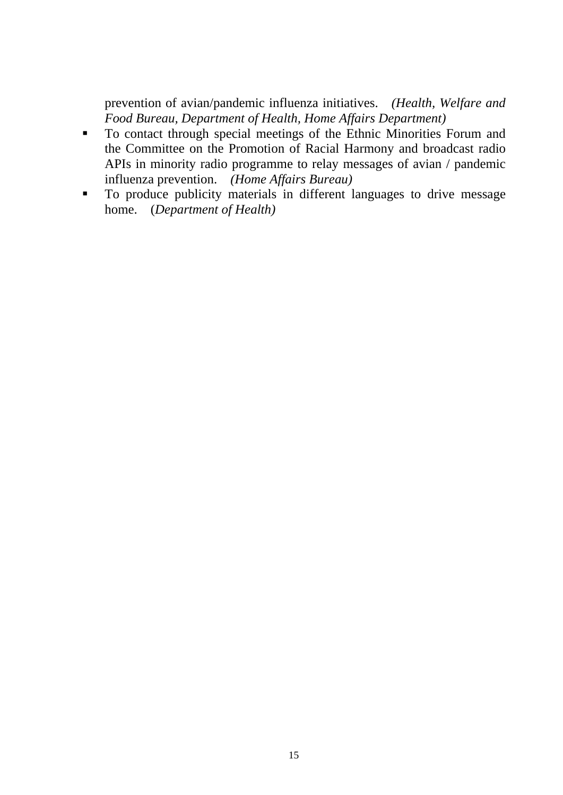prevention of avian/pandemic influenza initiatives. *(Health, Welfare and Food Bureau, Department of Health, Home Affairs Department)*

- To contact through special meetings of the Ethnic Minorities Forum and the Committee on the Promotion of Racial Harmony and broadcast radio APIs in minority radio programme to relay messages of avian / pandemic influenza prevention. *(Home Affairs Bureau)*
- To produce publicity materials in different languages to drive message home. (*Department of Health)*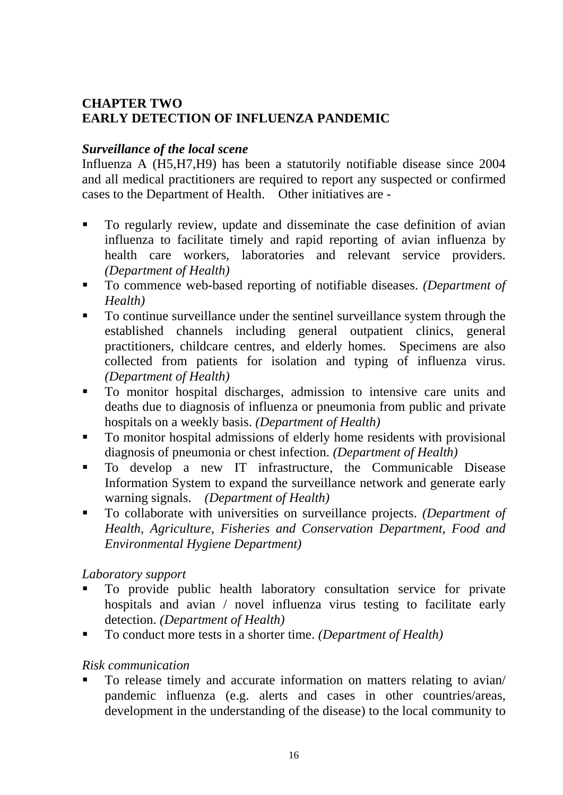# **CHAPTER TWO EARLY DETECTION OF INFLUENZA PANDEMIC**

### *Surveillance of the local scene*

Influenza A (H5,H7,H9) has been a statutorily notifiable disease since 2004 and all medical practitioners are required to report any suspected or confirmed cases to the Department of Health. Other initiatives are *-* 

- To regularly review, update and disseminate the case definition of avian influenza to facilitate timely and rapid reporting of avian influenza by health care workers, laboratories and relevant service providers. *(Department of Health)*
- To commence web-based reporting of notifiable diseases. *(Department of Health)*
- To continue surveillance under the sentinel surveillance system through the established channels including general outpatient clinics, general practitioners, childcare centres, and elderly homes. Specimens are also collected from patients for isolation and typing of influenza virus. *(Department of Health)*
- To monitor hospital discharges, admission to intensive care units and deaths due to diagnosis of influenza or pneumonia from public and private hospitals on a weekly basis. *(Department of Health)*
- To monitor hospital admissions of elderly home residents with provisional diagnosis of pneumonia or chest infection. *(Department of Health)*
- To develop a new IT infrastructure, the Communicable Disease Information System to expand the surveillance network and generate early warning signals. *(Department of Health)*
- To collaborate with universities on surveillance projects. *(Department of Health, Agriculture, Fisheries and Conservation Department, Food and Environmental Hygiene Department)*

#### *Laboratory support*

- To provide public health laboratory consultation service for private hospitals and avian / novel influenza virus testing to facilitate early detection. *(Department of Health)*
- To conduct more tests in a shorter time. *(Department of Health)*

#### *Risk communication*

 To release timely and accurate information on matters relating to avian/ pandemic influenza (e.g. alerts and cases in other countries/areas, development in the understanding of the disease) to the local community to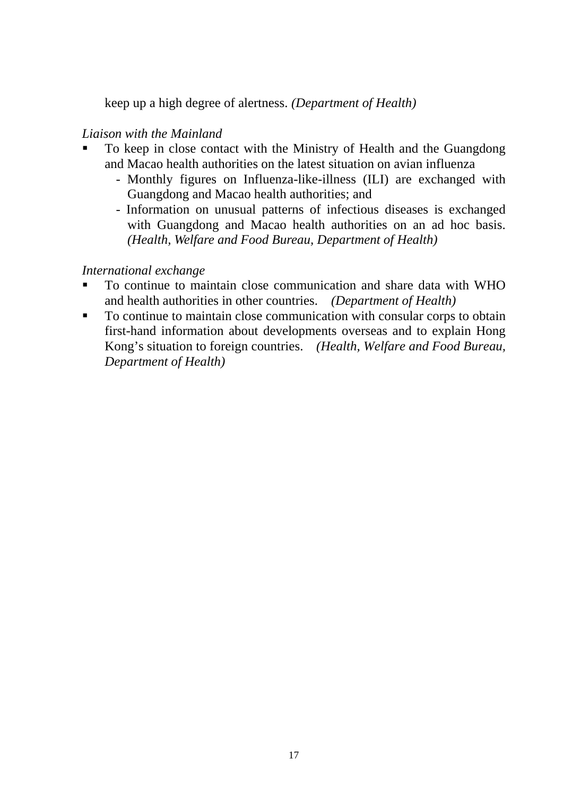keep up a high degree of alertness. *(Department of Health)*

### *Liaison with the Mainland*

- To keep in close contact with the Ministry of Health and the Guangdong and Macao health authorities on the latest situation on avian influenza
	- Monthly figures on Influenza-like-illness (ILI) are exchanged with Guangdong and Macao health authorities; and
	- Information on unusual patterns of infectious diseases is exchanged with Guangdong and Macao health authorities on an ad hoc basis. *(Health, Welfare and Food Bureau, Department of Health)*

### *International exchange*

- To continue to maintain close communication and share data with WHO and health authorities in other countries. *(Department of Health)*
- To continue to maintain close communication with consular corps to obtain first-hand information about developments overseas and to explain Hong Kong's situation to foreign countries. *(Health, Welfare and Food Bureau, Department of Health)*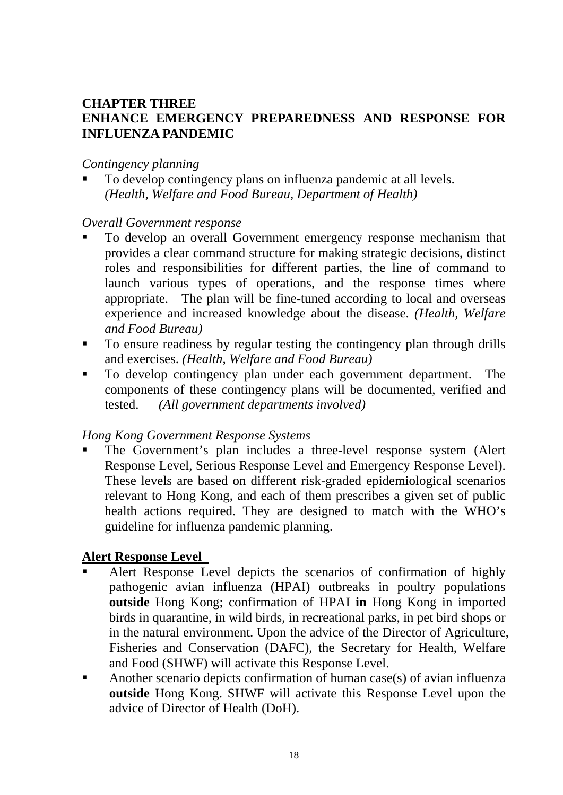#### **CHAPTER THREE ENHANCE EMERGENCY PREPAREDNESS AND RESPONSE FOR INFLUENZA PANDEMIC**

#### *Contingency planning*

 To develop contingency plans on influenza pandemic at all levels. *(Health, Welfare and Food Bureau, Department of Health)*

#### *Overall Government response*

- To develop an overall Government emergency response mechanism that provides a clear command structure for making strategic decisions, distinct roles and responsibilities for different parties, the line of command to launch various types of operations, and the response times where appropriate. The plan will be fine-tuned according to local and overseas experience and increased knowledge about the disease. *(Health, Welfare and Food Bureau)*
- To ensure readiness by regular testing the contingency plan through drills and exercises. *(Health, Welfare and Food Bureau)*
- To develop contingency plan under each government department. The components of these contingency plans will be documented, verified and tested. *(All government departments involved)*

#### *Hong Kong Government Response Systems*

 The Government's plan includes a three-level response system (Alert Response Level, Serious Response Level and Emergency Response Level). These levels are based on different risk-graded epidemiological scenarios relevant to Hong Kong, and each of them prescribes a given set of public health actions required. They are designed to match with the WHO's guideline for influenza pandemic planning.

#### **Alert Response Level**

- Alert Response Level depicts the scenarios of confirmation of highly pathogenic avian influenza (HPAI) outbreaks in poultry populations **outside** Hong Kong; confirmation of HPAI **in** Hong Kong in imported birds in quarantine, in wild birds, in recreational parks, in pet bird shops or in the natural environment. Upon the advice of the Director of Agriculture, Fisheries and Conservation (DAFC), the Secretary for Health, Welfare and Food (SHWF) will activate this Response Level.
- Another scenario depicts confirmation of human case(s) of avian influenza **outside** Hong Kong. SHWF will activate this Response Level upon the advice of Director of Health (DoH).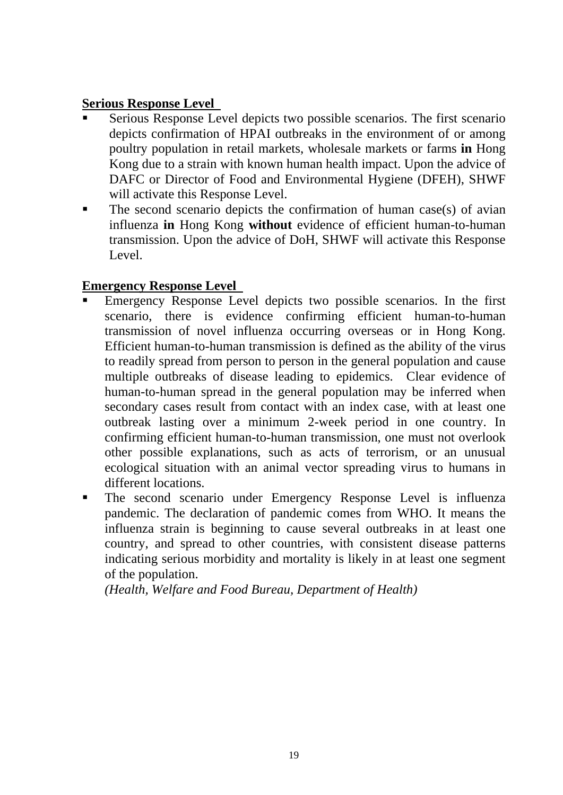# **Serious Response Level**

- Serious Response Level depicts two possible scenarios. The first scenario depicts confirmation of HPAI outbreaks in the environment of or among poultry population in retail markets, wholesale markets or farms **in** Hong Kong due to a strain with known human health impact. Upon the advice of DAFC or Director of Food and Environmental Hygiene (DFEH), SHWF will activate this Response Level.
- $\blacksquare$  The second scenario depicts the confirmation of human case(s) of avian influenza **in** Hong Kong **without** evidence of efficient human-to-human transmission. Upon the advice of DoH, SHWF will activate this Response Level.

# **Emergency Response Level**

- Emergency Response Level depicts two possible scenarios. In the first scenario, there is evidence confirming efficient human-to-human transmission of novel influenza occurring overseas or in Hong Kong. Efficient human-to-human transmission is defined as the ability of the virus to readily spread from person to person in the general population and cause multiple outbreaks of disease leading to epidemics. Clear evidence of human-to-human spread in the general population may be inferred when secondary cases result from contact with an index case, with at least one outbreak lasting over a minimum 2-week period in one country. In confirming efficient human-to-human transmission, one must not overlook other possible explanations, such as acts of terrorism, or an unusual ecological situation with an animal vector spreading virus to humans in different locations.
- **The second scenario under Emergency Response Level is influenza** pandemic. The declaration of pandemic comes from WHO. It means the influenza strain is beginning to cause several outbreaks in at least one country, and spread to other countries, with consistent disease patterns indicating serious morbidity and mortality is likely in at least one segment of the population.

*(Health, Welfare and Food Bureau, Department of Health)*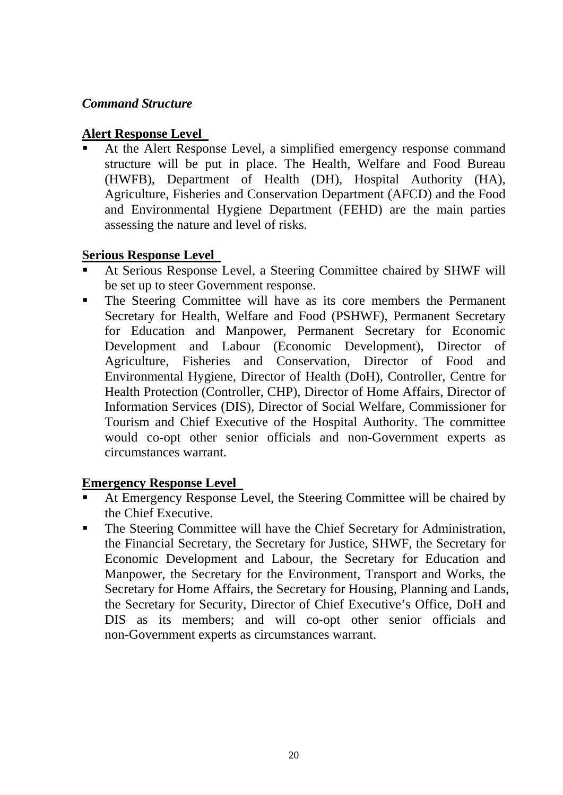### *Command Structure*

#### **Alert Response Level**

 At the Alert Response Level, a simplified emergency response command structure will be put in place. The Health, Welfare and Food Bureau (HWFB), Department of Health (DH), Hospital Authority (HA), Agriculture, Fisheries and Conservation Department (AFCD) and the Food and Environmental Hygiene Department (FEHD) are the main parties assessing the nature and level of risks.

### **Serious Response Level**

- At Serious Response Level, a Steering Committee chaired by SHWF will be set up to steer Government response.
- The Steering Committee will have as its core members the Permanent Secretary for Health, Welfare and Food (PSHWF), Permanent Secretary for Education and Manpower, Permanent Secretary for Economic Development and Labour (Economic Development), Director of Agriculture, Fisheries and Conservation, Director of Food and Environmental Hygiene, Director of Health (DoH), Controller, Centre for Health Protection (Controller, CHP), Director of Home Affairs, Director of Information Services (DIS), Director of Social Welfare, Commissioner for Tourism and Chief Executive of the Hospital Authority. The committee would co-opt other senior officials and non-Government experts as circumstances warrant.

# **Emergency Response Level**

- At Emergency Response Level, the Steering Committee will be chaired by the Chief Executive.
- The Steering Committee will have the Chief Secretary for Administration, the Financial Secretary, the Secretary for Justice, SHWF, the Secretary for Economic Development and Labour, the Secretary for Education and Manpower, the Secretary for the Environment, Transport and Works, the Secretary for Home Affairs, the Secretary for Housing, Planning and Lands, the Secretary for Security, Director of Chief Executive's Office, DoH and DIS as its members; and will co-opt other senior officials and non-Government experts as circumstances warrant.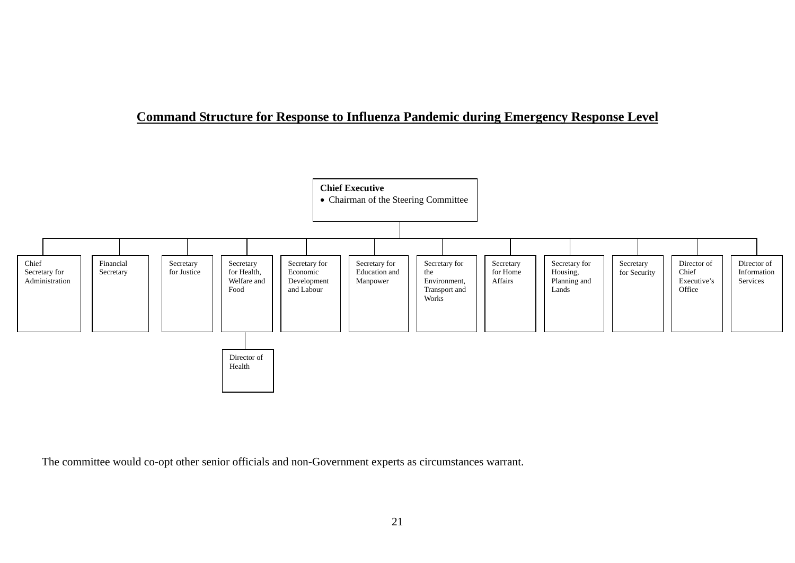#### **Command Structure for Response to Influenza Pandemic during Emergency Response Level**



The committee would co-opt other senior officials and non-Government experts as circumstances warrant.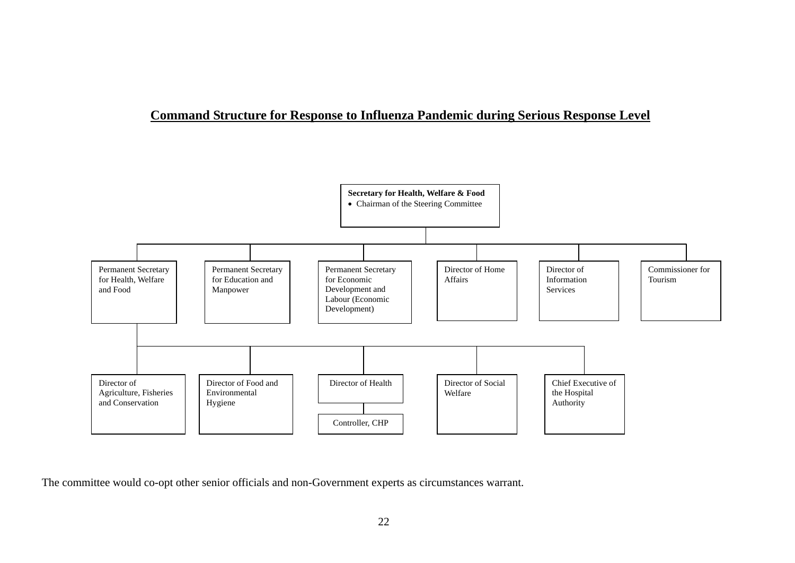#### **Command Structure for Response to Influenza Pandemic during Serious Response Level**



The committee would co-opt other senior officials and non-Government experts as circumstances warrant.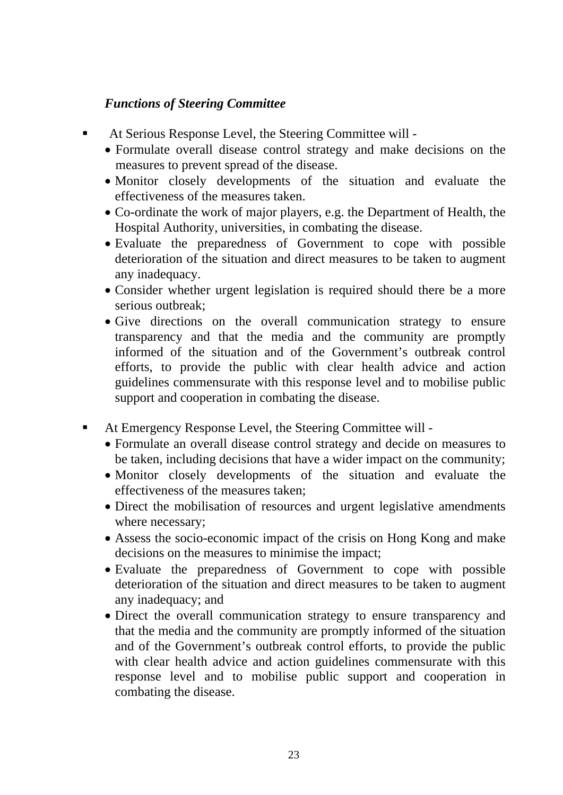# *Functions of Steering Committee*

- At Serious Response Level, the Steering Committee will
	- Formulate overall disease control strategy and make decisions on the measures to prevent spread of the disease.
	- Monitor closely developments of the situation and evaluate the effectiveness of the measures taken.
	- Co-ordinate the work of major players, e.g. the Department of Health, the Hospital Authority, universities, in combating the disease.
	- Evaluate the preparedness of Government to cope with possible deterioration of the situation and direct measures to be taken to augment any inadequacy.
	- Consider whether urgent legislation is required should there be a more serious outbreak;
	- Give directions on the overall communication strategy to ensure transparency and that the media and the community are promptly informed of the situation and of the Government's outbreak control efforts, to provide the public with clear health advice and action guidelines commensurate with this response level and to mobilise public support and cooperation in combating the disease.
- At Emergency Response Level, the Steering Committee will
	- Formulate an overall disease control strategy and decide on measures to be taken, including decisions that have a wider impact on the community;
	- Monitor closely developments of the situation and evaluate the effectiveness of the measures taken;
	- Direct the mobilisation of resources and urgent legislative amendments where necessary;
	- Assess the socio-economic impact of the crisis on Hong Kong and make decisions on the measures to minimise the impact;
	- Evaluate the preparedness of Government to cope with possible deterioration of the situation and direct measures to be taken to augment any inadequacy; and
	- Direct the overall communication strategy to ensure transparency and that the media and the community are promptly informed of the situation and of the Government's outbreak control efforts, to provide the public with clear health advice and action guidelines commensurate with this response level and to mobilise public support and cooperation in combating the disease.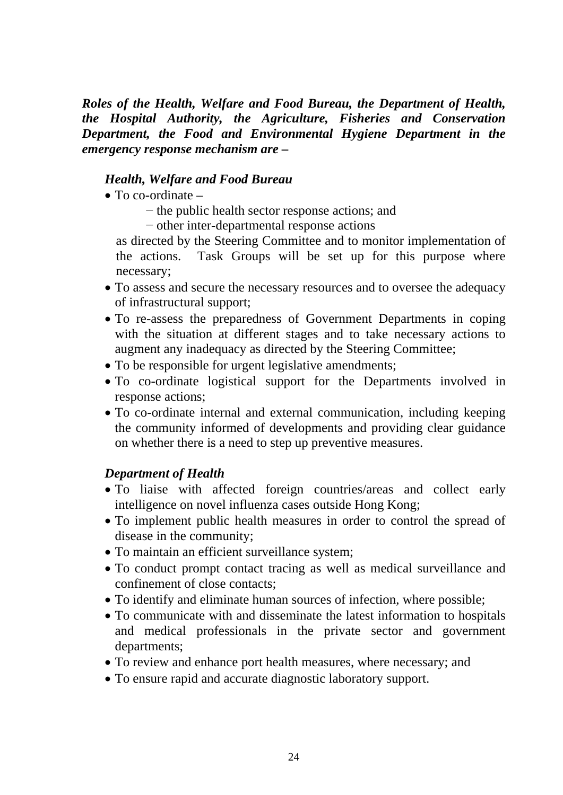*Roles of the Health, Welfare and Food Bureau, the Department of Health, the Hospital Authority, the Agriculture, Fisheries and Conservation Department, the Food and Environmental Hygiene Department in the emergency response mechanism are –* 

#### *Health, Welfare and Food Bureau*

- $\bullet$  To co-ordinate  $-$ 
	- − the public health sector response actions; and
	- − other inter-departmental response actions

as directed by the Steering Committee and to monitor implementation of the actions. Task Groups will be set up for this purpose where necessary;

- To assess and secure the necessary resources and to oversee the adequacy of infrastructural support;
- To re-assess the preparedness of Government Departments in coping with the situation at different stages and to take necessary actions to augment any inadequacy as directed by the Steering Committee;
- To be responsible for urgent legislative amendments;
- To co-ordinate logistical support for the Departments involved in response actions;
- To co-ordinate internal and external communication, including keeping the community informed of developments and providing clear guidance on whether there is a need to step up preventive measures.

#### *Department of Health*

- To liaise with affected foreign countries/areas and collect early intelligence on novel influenza cases outside Hong Kong;
- To implement public health measures in order to control the spread of disease in the community;
- To maintain an efficient surveillance system;
- To conduct prompt contact tracing as well as medical surveillance and confinement of close contacts;
- To identify and eliminate human sources of infection, where possible;
- To communicate with and disseminate the latest information to hospitals and medical professionals in the private sector and government departments;
- To review and enhance port health measures, where necessary; and
- To ensure rapid and accurate diagnostic laboratory support.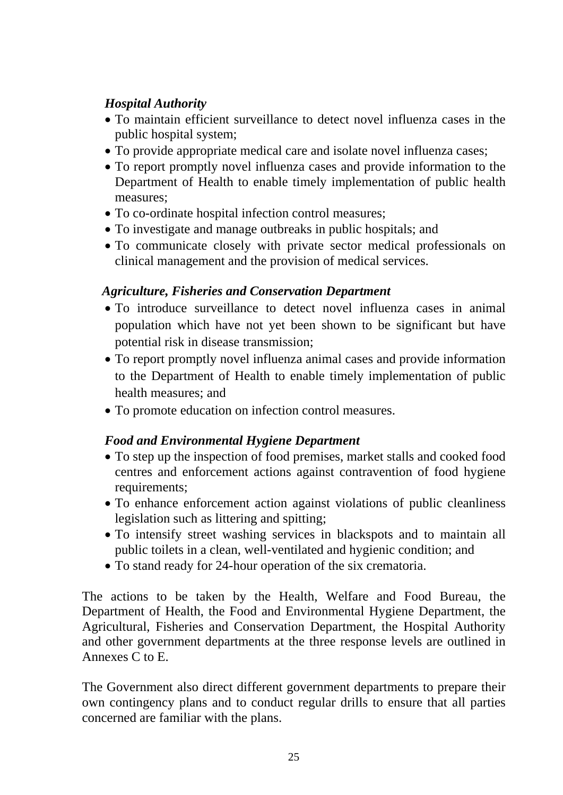# *Hospital Authority*

- To maintain efficient surveillance to detect novel influenza cases in the public hospital system;
- To provide appropriate medical care and isolate novel influenza cases;
- To report promptly novel influenza cases and provide information to the Department of Health to enable timely implementation of public health measures;
- To co-ordinate hospital infection control measures:
- To investigate and manage outbreaks in public hospitals; and
- To communicate closely with private sector medical professionals on clinical management and the provision of medical services.

# *Agriculture, Fisheries and Conservation Department*

- To introduce surveillance to detect novel influenza cases in animal population which have not yet been shown to be significant but have potential risk in disease transmission;
- To report promptly novel influenza animal cases and provide information to the Department of Health to enable timely implementation of public health measures; and
- To promote education on infection control measures.

# *Food and Environmental Hygiene Department*

- To step up the inspection of food premises, market stalls and cooked food centres and enforcement actions against contravention of food hygiene requirements;
- To enhance enforcement action against violations of public cleanliness legislation such as littering and spitting;
- To intensify street washing services in blackspots and to maintain all public toilets in a clean, well-ventilated and hygienic condition; and
- To stand ready for 24-hour operation of the six crematoria.

The actions to be taken by the Health, Welfare and Food Bureau, the Department of Health, the Food and Environmental Hygiene Department, the Agricultural, Fisheries and Conservation Department, the Hospital Authority and other government departments at the three response levels are outlined in Annexes C to E.

The Government also direct different government departments to prepare their own contingency plans and to conduct regular drills to ensure that all parties concerned are familiar with the plans.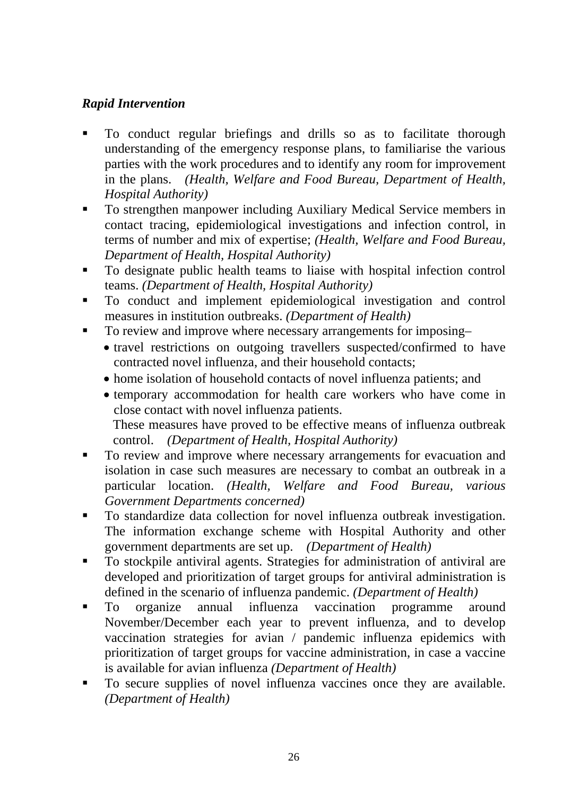# *Rapid Intervention*

- To conduct regular briefings and drills so as to facilitate thorough understanding of the emergency response plans, to familiarise the various parties with the work procedures and to identify any room for improvement in the plans. *(Health, Welfare and Food Bureau, Department of Health, Hospital Authority)*
- To strengthen manpower including Auxiliary Medical Service members in contact tracing, epidemiological investigations and infection control, in terms of number and mix of expertise; *(Health, Welfare and Food Bureau, Department of Health, Hospital Authority)*
- To designate public health teams to liaise with hospital infection control teams. *(Department of Health, Hospital Authority)*
- To conduct and implement epidemiological investigation and control measures in institution outbreaks. *(Department of Health)*
- To review and improve where necessary arrangements for imposing–
	- travel restrictions on outgoing travellers suspected/confirmed to have contracted novel influenza, and their household contacts;
	- home isolation of household contacts of novel influenza patients; and
	- temporary accommodation for health care workers who have come in close contact with novel influenza patients. These measures have proved to be effective means of influenza outbreak control. *(Department of Health, Hospital Authority)*
- To review and improve where necessary arrangements for evacuation and isolation in case such measures are necessary to combat an outbreak in a particular location. *(Health, Welfare and Food Bureau, various Government Departments concerned)*
- To standardize data collection for novel influenza outbreak investigation. The information exchange scheme with Hospital Authority and other government departments are set up. *(Department of Health)*
- To stockpile antiviral agents. Strategies for administration of antiviral are developed and prioritization of target groups for antiviral administration is defined in the scenario of influenza pandemic. *(Department of Health)*
- To organize annual influenza vaccination programme around November/December each year to prevent influenza, and to develop vaccination strategies for avian / pandemic influenza epidemics with prioritization of target groups for vaccine administration, in case a vaccine is available for avian influenza *(Department of Health)*
- To secure supplies of novel influenza vaccines once they are available. *(Department of Health)*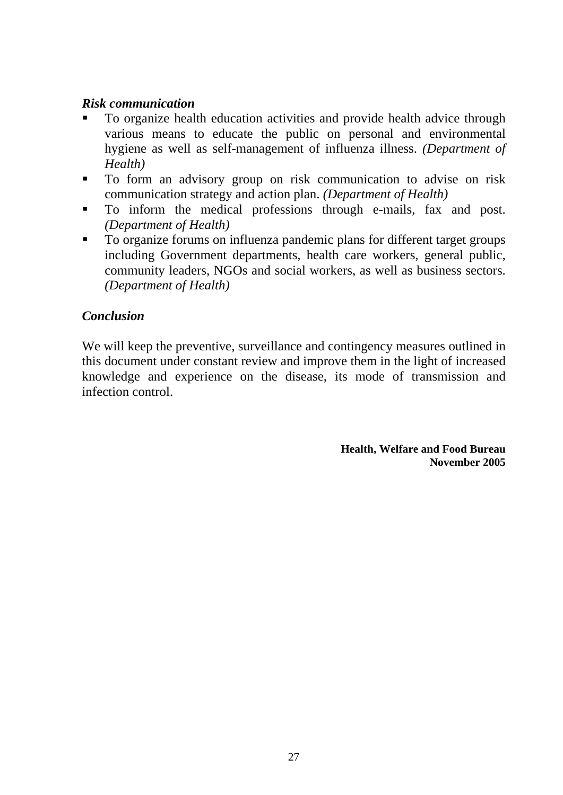#### *Risk communication*

- To organize health education activities and provide health advice through various means to educate the public on personal and environmental hygiene as well as self-management of influenza illness. *(Department of Health)*
- To form an advisory group on risk communication to advise on risk communication strategy and action plan. *(Department of Health)*
- To inform the medical professions through e-mails, fax and post. *(Department of Health)*
- To organize forums on influenza pandemic plans for different target groups including Government departments, health care workers, general public, community leaders, NGOs and social workers, as well as business sectors. *(Department of Health)*

#### *Conclusion*

We will keep the preventive, surveillance and contingency measures outlined in this document under constant review and improve them in the light of increased knowledge and experience on the disease, its mode of transmission and infection control.

> **Health, Welfare and Food Bureau November 2005**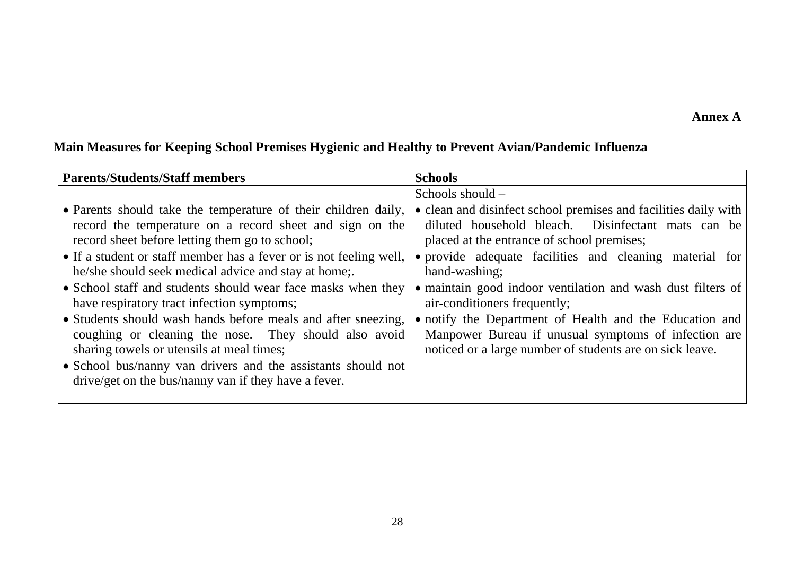#### **Annex A**

# **Main Measures for Keeping School Premises Hygienic and Healthy to Prevent Avian/Pandemic Influenza**

| <b>Parents/Students/Staff members</b>                              | <b>Schools</b>                                                  |
|--------------------------------------------------------------------|-----------------------------------------------------------------|
|                                                                    | Schools should $-$                                              |
| • Parents should take the temperature of their children daily,     | • clean and disinfect school premises and facilities daily with |
| record the temperature on a record sheet and sign on the           | diluted household bleach. Disinfectant mats can be              |
| record sheet before letting them go to school;                     | placed at the entrance of school premises;                      |
| • If a student or staff member has a fever or is not feeling well, | • provide adequate facilities and cleaning material for         |
| he/she should seek medical advice and stay at home;                | hand-washing;                                                   |
| • School staff and students should wear face masks when they       | • maintain good indoor ventilation and wash dust filters of     |
| have respiratory tract infection symptoms;                         | air-conditioners frequently;                                    |
| • Students should wash hands before meals and after sneezing,      | • notify the Department of Health and the Education and         |
| coughing or cleaning the nose. They should also avoid              | Manpower Bureau if unusual symptoms of infection are            |
| sharing towels or utensils at meal times;                          | noticed or a large number of students are on sick leave.        |
| • School bus/nanny van drivers and the assistants should not       |                                                                 |
| drive/get on the bus/nanny van if they have a fever.               |                                                                 |
|                                                                    |                                                                 |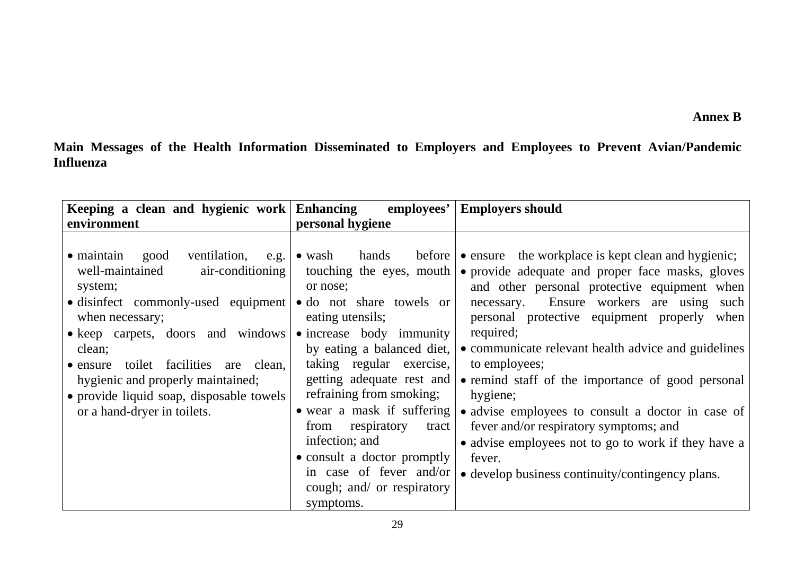**Main Messages of the Health Information Disseminated to Employers and Employees to Prevent Avian/Pandemic Influenza**

| Keeping a clean and hygienic work Enhancing                                                                                                                                                                                                                                                                                                                            | employees'                                                                                                                                                                                                                                                                                                                                                                                                                             | <b>Employers should</b>                                                                                                                                                                                                                                                                                                                                                                                                                                                                                                                                                                                                                          |
|------------------------------------------------------------------------------------------------------------------------------------------------------------------------------------------------------------------------------------------------------------------------------------------------------------------------------------------------------------------------|----------------------------------------------------------------------------------------------------------------------------------------------------------------------------------------------------------------------------------------------------------------------------------------------------------------------------------------------------------------------------------------------------------------------------------------|--------------------------------------------------------------------------------------------------------------------------------------------------------------------------------------------------------------------------------------------------------------------------------------------------------------------------------------------------------------------------------------------------------------------------------------------------------------------------------------------------------------------------------------------------------------------------------------------------------------------------------------------------|
| environment                                                                                                                                                                                                                                                                                                                                                            | personal hygiene                                                                                                                                                                                                                                                                                                                                                                                                                       |                                                                                                                                                                                                                                                                                                                                                                                                                                                                                                                                                                                                                                                  |
| ventilation,<br>$\bullet$ maintain<br>good<br>e.g.<br>air-conditioning<br>well-maintained<br>system;<br>• disinfect commonly-used equipment<br>when necessary;<br>• keep carpets, doors and windows<br>clean;<br>• ensure toilet facilities are clean,<br>hygienic and properly maintained;<br>• provide liquid soap, disposable towels<br>or a hand-dryer in toilets. | hands<br>$\bullet$ wash<br>touching the eyes, mouth<br>or nose;<br>• do not share towels or<br>eating utensils;<br>• increase body immunity<br>by eating a balanced diet,<br>taking regular exercise,<br>getting adequate rest and<br>refraining from smoking;<br>• wear a mask if suffering<br>from<br>respiratory<br>tract<br>infection; and<br>• consult a doctor promptly<br>in case of fever and/or<br>cough; and/ or respiratory | before $\bullet$ ensure the workplace is kept clean and hygienic;<br>• provide adequate and proper face masks, gloves<br>and other personal protective equipment when<br>Ensure workers are using such<br>necessary.<br>personal protective equipment properly<br>when<br>required;<br>• communicate relevant health advice and guidelines<br>to employees;<br>• remind staff of the importance of good personal<br>hygiene;<br>• advise employees to consult a doctor in case of<br>fever and/or respiratory symptoms; and<br>• advise employees not to go to work if they have a<br>fever.<br>• develop business continuity/contingency plans. |
|                                                                                                                                                                                                                                                                                                                                                                        | symptoms.                                                                                                                                                                                                                                                                                                                                                                                                                              |                                                                                                                                                                                                                                                                                                                                                                                                                                                                                                                                                                                                                                                  |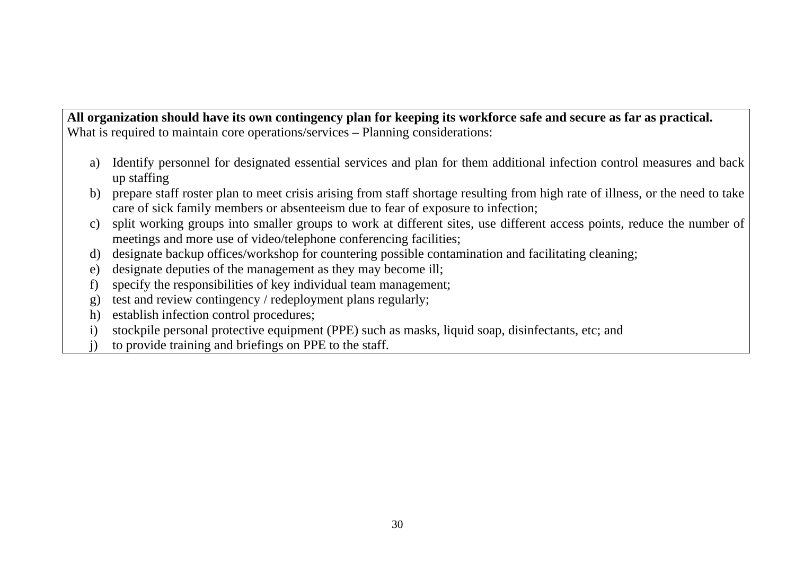**All organization should have its own contingency plan for keeping its workforce safe and secure as far as practical.**  What is required to maintain core operations/services – Planning considerations:

- a) Identify personnel for designated essential services and plan for them additional infection control measures and back up staffing
- b) prepare staff roster plan to meet crisis arising from staff shortage resulting from high rate of illness, or the need to take care of sick family members or absenteeism due to fear of exposure to infection;
- c) split working groups into smaller groups to work at different sites, use different access points, reduce the number of meetings and more use of video/telephone conferencing facilities;
- d) designate backup offices/workshop for countering possible contamination and facilitating cleaning;
- e) designate deputies of the management as they may become ill;
- f) specify the responsibilities of key individual team management;
- g) test and review contingency / redeployment plans regularly;
- h) establish infection control procedures;
- i) stockpile personal protective equipment (PPE) such as masks, liquid soap, disinfectants, etc; and
- j) to provide training and briefings on PPE to the staff.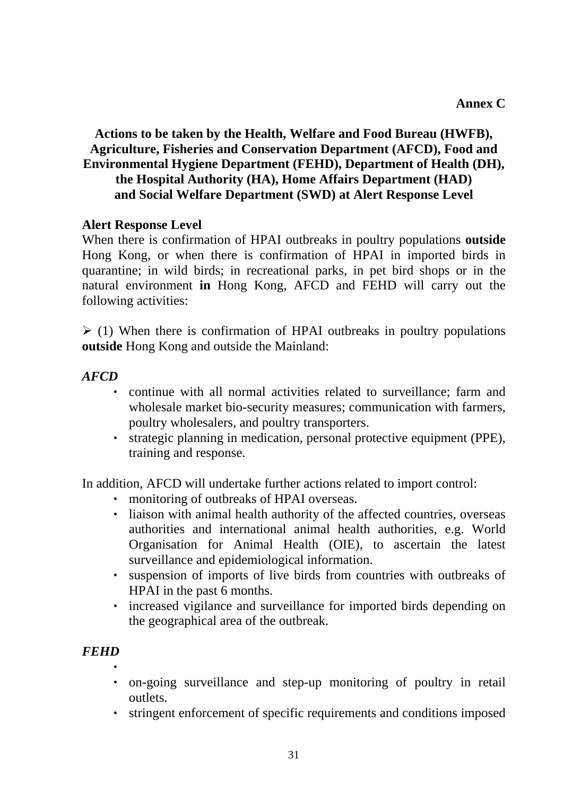# **Actions to be taken by the Health, Welfare and Food Bureau (HWFB), Agriculture, Fisheries and Conservation Department (AFCD), Food and Environmental Hygiene Department (FEHD), Department of Health (DH), the Hospital Authority (HA), Home Affairs Department (HAD) and Social Welfare Department (SWD) at Alert Response Level**

#### **Alert Response Level**

When there is confirmation of HPAI outbreaks in poultry populations **outside**  Hong Kong, or when there is confirmation of HPAI in imported birds in quarantine; in wild birds; in recreational parks, in pet bird shops or in the natural environment **in** Hong Kong, AFCD and FEHD will carry out the following activities:

 $\geq$  (1) When there is confirmation of HPAI outbreaks in poultry populations **outside** Hong Kong and outside the Mainland:

#### *AFCD*

- ‧ continue with all normal activities related to surveillance; farm and wholesale market bio-security measures; communication with farmers, poultry wholesalers, and poultry transporters.
- ‧ strategic planning in medication, personal protective equipment (PPE), training and response.

In addition, AFCD will undertake further actions related to import control:

- ‧ monitoring of outbreaks of HPAI overseas.
- liaison with animal health authority of the affected countries, overseas authorities and international animal health authorities, e.g. World Organisation for Animal Health (OIE), to ascertain the latest surveillance and epidemiological information.
- ‧ suspension of imports of live birds from countries with outbreaks of HPAI in the past 6 months.
- increased vigilance and surveillance for imported birds depending on the geographical area of the outbreak.

- $\ddot{\phantom{0}}$
- ‧ on-going surveillance and step-up monitoring of poultry in retail outlets.
- ‧ stringent enforcement of specific requirements and conditions imposed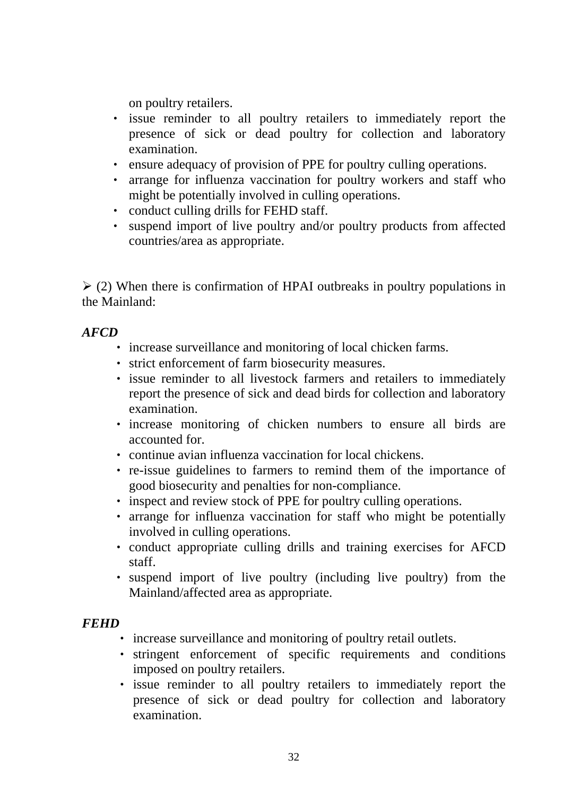on poultry retailers.

- ‧ issue reminder to all poultry retailers to immediately report the presence of sick or dead poultry for collection and laboratory examination.
- ‧ ensure adequacy of provision of PPE for poultry culling operations.
- ‧ arrange for influenza vaccination for poultry workers and staff who might be potentially involved in culling operations.
- ‧ conduct culling drills for FEHD staff.
- ‧ suspend import of live poultry and/or poultry products from affected countries/area as appropriate.

 $\geq$  (2) When there is confirmation of HPAI outbreaks in poultry populations in the Mainland:

### *AFCD*

- ‧ increase surveillance and monitoring of local chicken farms.
- ‧ strict enforcement of farm biosecurity measures.
- ‧ issue reminder to all livestock farmers and retailers to immediately report the presence of sick and dead birds for collection and laboratory examination.
- ‧ increase monitoring of chicken numbers to ensure all birds are accounted for.
- ‧ continue avian influenza vaccination for local chickens.
- ‧ re-issue guidelines to farmers to remind them of the importance of good biosecurity and penalties for non-compliance.
- ‧ inspect and review stock of PPE for poultry culling operations.
- ‧ arrange for influenza vaccination for staff who might be potentially involved in culling operations.
- ‧ conduct appropriate culling drills and training exercises for AFCD staff.
- ‧ suspend import of live poultry (including live poultry) from the Mainland/affected area as appropriate.

- ‧ increase surveillance and monitoring of poultry retail outlets.
- ‧ stringent enforcement of specific requirements and conditions imposed on poultry retailers.
- ‧ issue reminder to all poultry retailers to immediately report the presence of sick or dead poultry for collection and laboratory examination.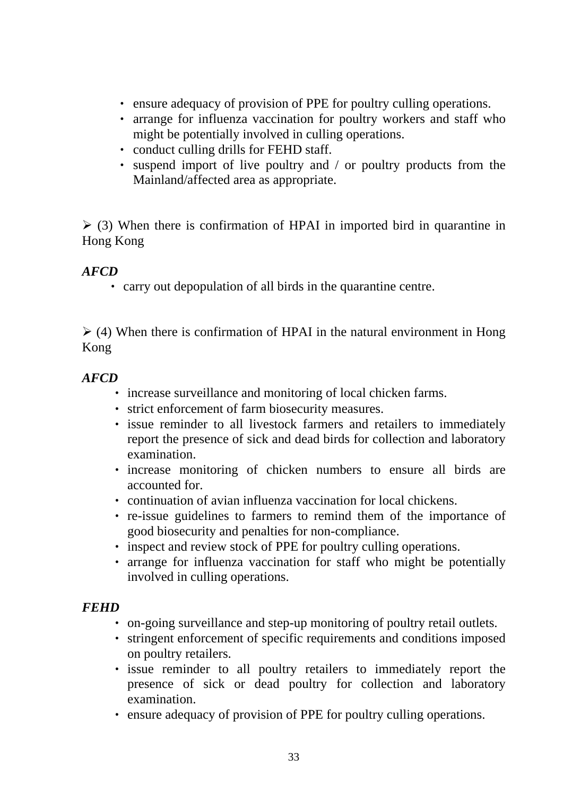- ‧ ensure adequacy of provision of PPE for poultry culling operations.
- ‧ arrange for influenza vaccination for poultry workers and staff who might be potentially involved in culling operations.
- ‧ conduct culling drills for FEHD staff.
- suspend import of live poultry and / or poultry products from the Mainland/affected area as appropriate.

 $\geq$  (3) When there is confirmation of HPAI in imported bird in quarantine in Hong Kong

### *AFCD*

‧ carry out depopulation of all birds in the quarantine centre.

 $\ge$  (4) When there is confirmation of HPAI in the natural environment in Hong Kong

#### *AFCD*

- ‧ increase surveillance and monitoring of local chicken farms.
- ‧ strict enforcement of farm biosecurity measures.
- ‧ issue reminder to all livestock farmers and retailers to immediately report the presence of sick and dead birds for collection and laboratory examination.
- ‧ increase monitoring of chicken numbers to ensure all birds are accounted for.
- ‧ continuation of avian influenza vaccination for local chickens.
- ‧ re-issue guidelines to farmers to remind them of the importance of good biosecurity and penalties for non-compliance.
- ‧ inspect and review stock of PPE for poultry culling operations.
- ‧ arrange for influenza vaccination for staff who might be potentially involved in culling operations.

- ‧ on-going surveillance and step-up monitoring of poultry retail outlets.
- ‧ stringent enforcement of specific requirements and conditions imposed on poultry retailers.
- ‧ issue reminder to all poultry retailers to immediately report the presence of sick or dead poultry for collection and laboratory examination.
- ‧ ensure adequacy of provision of PPE for poultry culling operations.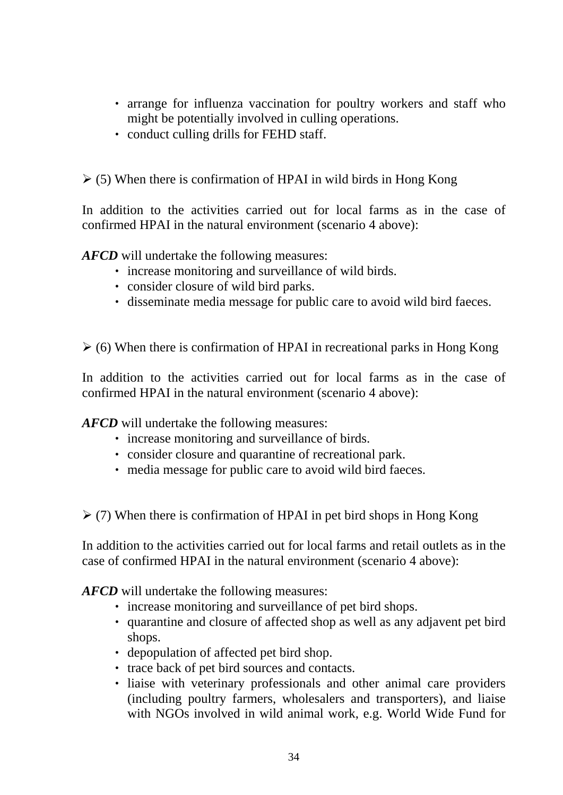- arrange for influenza vaccination for poultry workers and staff who might be potentially involved in culling operations.
- ‧ conduct culling drills for FEHD staff.

 $\ge$  (5) When there is confirmation of HPAI in wild birds in Hong Kong

In addition to the activities carried out for local farms as in the case of confirmed HPAI in the natural environment (scenario 4 above):

*AFCD* will undertake the following measures:

- ‧ increase monitoring and surveillance of wild birds.
- ‧ consider closure of wild bird parks.
- ‧ disseminate media message for public care to avoid wild bird faeces.

 $\geq$  (6) When there is confirmation of HPAI in recreational parks in Hong Kong

In addition to the activities carried out for local farms as in the case of confirmed HPAI in the natural environment (scenario 4 above):

*AFCD* will undertake the following measures:

- ‧ increase monitoring and surveillance of birds.
- ‧ consider closure and quarantine of recreational park.
- ‧ media message for public care to avoid wild bird faeces.

 $\geq$  (7) When there is confirmation of HPAI in pet bird shops in Hong Kong

In addition to the activities carried out for local farms and retail outlets as in the case of confirmed HPAI in the natural environment (scenario 4 above):

*AFCD* will undertake the following measures:

- ‧ increase monitoring and surveillance of pet bird shops.
- ‧ quarantine and closure of affected shop as well as any adjavent pet bird shops.
- ‧ depopulation of affected pet bird shop.
- ‧ trace back of pet bird sources and contacts.
- ‧ liaise with veterinary professionals and other animal care providers (including poultry farmers, wholesalers and transporters), and liaise with NGOs involved in wild animal work, e.g. World Wide Fund for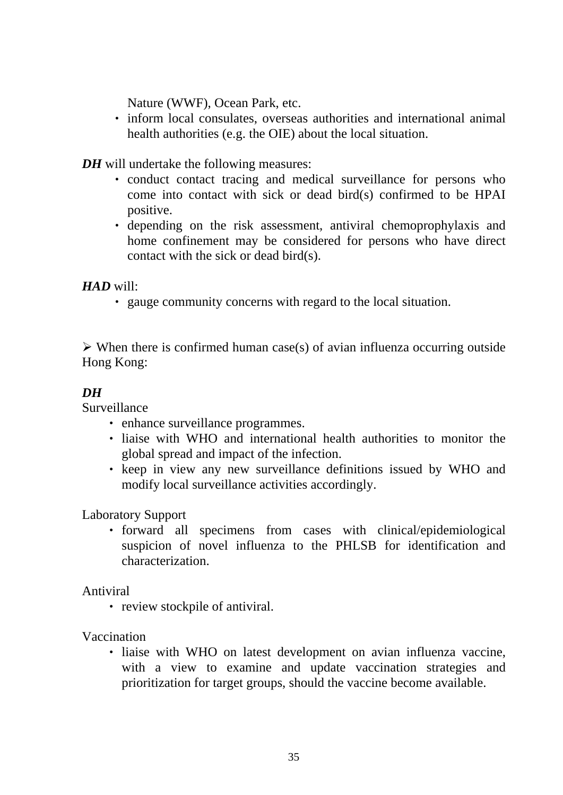Nature (WWF), Ocean Park, etc.

‧ inform local consulates, overseas authorities and international animal health authorities (e.g. the OIE) about the local situation.

*DH* will undertake the following measures:

- ‧ conduct contact tracing and medical surveillance for persons who come into contact with sick or dead bird(s) confirmed to be HPAI positive.
- ‧ depending on the risk assessment, antiviral chemoprophylaxis and home confinement may be considered for persons who have direct contact with the sick or dead bird(s).

### *HAD* will:

‧ gauge community concerns with regard to the local situation.

 $\triangleright$  When there is confirmed human case(s) of avian influenza occurring outside Hong Kong:

# *DH*

Surveillance

- ‧ enhance surveillance programmes.
- ‧ liaise with WHO and international health authorities to monitor the global spread and impact of the infection.
- ‧ keep in view any new surveillance definitions issued by WHO and modify local surveillance activities accordingly.

Laboratory Support

‧ forward all specimens from cases with clinical/epidemiological suspicion of novel influenza to the PHLSB for identification and characterization.

Antiviral

‧ review stockpile of antiviral.

Vaccination

‧ liaise with WHO on latest development on avian influenza vaccine, with a view to examine and update vaccination strategies and prioritization for target groups, should the vaccine become available.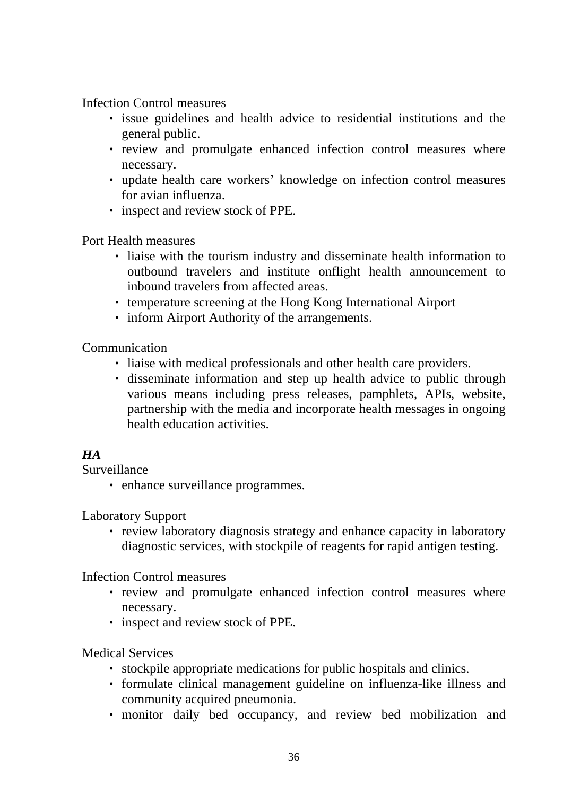Infection Control measures

- ‧ issue guidelines and health advice to residential institutions and the general public.
- ‧ review and promulgate enhanced infection control measures where necessary.
- ‧ update health care workers' knowledge on infection control measures for avian influenza.
- ‧ inspect and review stock of PPE.

Port Health measures

- ‧ liaise with the tourism industry and disseminate health information to outbound travelers and institute onflight health announcement to inbound travelers from affected areas.
- ‧ temperature screening at the Hong Kong International Airport
- ‧ inform Airport Authority of the arrangements.

Communication

- ‧ liaise with medical professionals and other health care providers.
- ‧ disseminate information and step up health advice to public through various means including press releases, pamphlets, APIs, website, partnership with the media and incorporate health messages in ongoing health education activities.

# *HA*

Surveillance

‧ enhance surveillance programmes.

Laboratory Support

• review laboratory diagnosis strategy and enhance capacity in laboratory diagnostic services, with stockpile of reagents for rapid antigen testing.

Infection Control measures

- ‧ review and promulgate enhanced infection control measures where necessary.
- ‧ inspect and review stock of PPE.

#### Medical Services

- ‧ stockpile appropriate medications for public hospitals and clinics.
- ‧ formulate clinical management guideline on influenza-like illness and community acquired pneumonia.
- monitor daily bed occupancy, and review bed mobilization and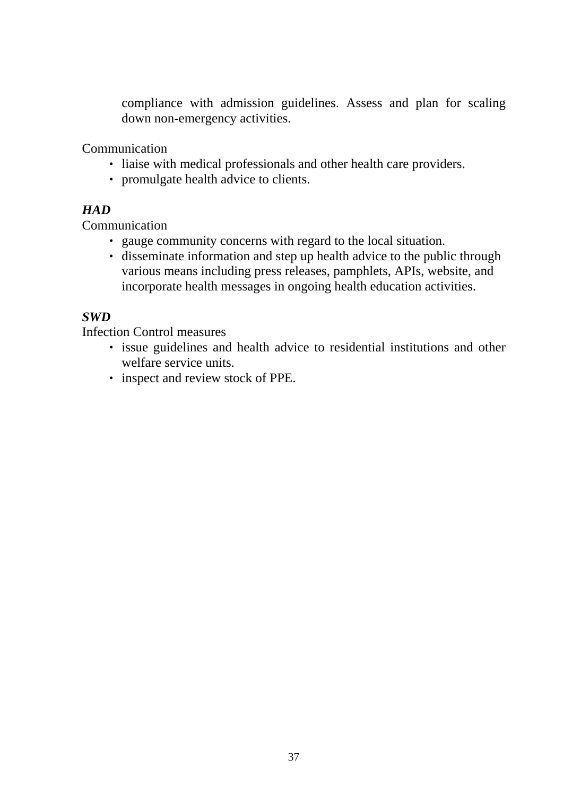compliance with admission guidelines. Assess and plan for scaling down non-emergency activities.

Communication

- ‧ liaise with medical professionals and other health care providers.
- ‧ promulgate health advice to clients.

# *HAD*

**Communication** 

- ‧ gauge community concerns with regard to the local situation.
- ‧ disseminate information and step up health advice to the public through various means including press releases, pamphlets, APIs, website, and incorporate health messages in ongoing health education activities.

# *SWD*

Infection Control measures

- ‧ issue guidelines and health advice to residential institutions and other welfare service units.
- ‧ inspect and review stock of PPE.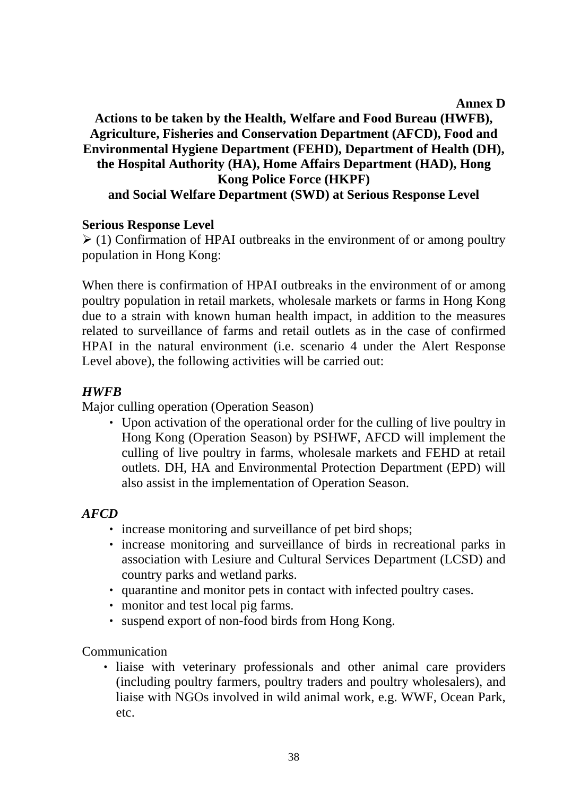#### **Annex D**

# **Actions to be taken by the Health, Welfare and Food Bureau (HWFB), Agriculture, Fisheries and Conservation Department (AFCD), Food and Environmental Hygiene Department (FEHD), Department of Health (DH), the Hospital Authority (HA), Home Affairs Department (HAD), Hong Kong Police Force (HKPF) and Social Welfare Department (SWD) at Serious Response Level**

#### **Serious Response Level**

 $\geq$  (1) Confirmation of HPAI outbreaks in the environment of or among poultry population in Hong Kong:

When there is confirmation of HPAI outbreaks in the environment of or among poultry population in retail markets, wholesale markets or farms in Hong Kong due to a strain with known human health impact, in addition to the measures related to surveillance of farms and retail outlets as in the case of confirmed HPAI in the natural environment (i.e. scenario 4 under the Alert Response Level above), the following activities will be carried out:

# *HWFB*

Major culling operation (Operation Season)

‧ Upon activation of the operational order for the culling of live poultry in Hong Kong (Operation Season) by PSHWF, AFCD will implement the culling of live poultry in farms, wholesale markets and FEHD at retail outlets. DH, HA and Environmental Protection Department (EPD) will also assist in the implementation of Operation Season.

#### *AFCD*

- ‧ increase monitoring and surveillance of pet bird shops;
- ‧ increase monitoring and surveillance of birds in recreational parks in association with Lesiure and Cultural Services Department (LCSD) and country parks and wetland parks.
- ‧ quarantine and monitor pets in contact with infected poultry cases.
- ‧ monitor and test local pig farms.
- ‧ suspend export of non-food birds from Hong Kong.

Communication

‧ liaise with veterinary professionals and other animal care providers (including poultry farmers, poultry traders and poultry wholesalers), and liaise with NGOs involved in wild animal work, e.g. WWF, Ocean Park, etc.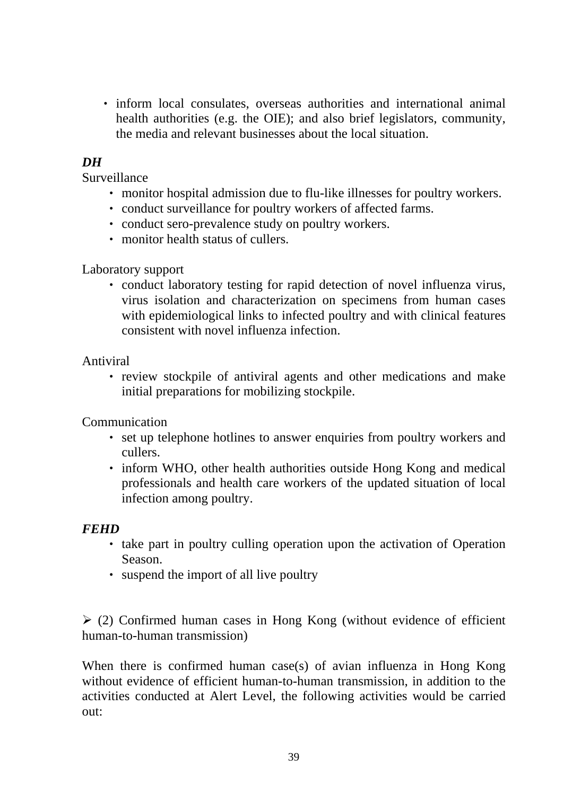‧ inform local consulates, overseas authorities and international animal health authorities (e.g. the OIE); and also brief legislators, community, the media and relevant businesses about the local situation.

### *DH*

Surveillance

- ‧ monitor hospital admission due to flu-like illnesses for poultry workers.
- ‧ conduct surveillance for poultry workers of affected farms.
- ‧ conduct sero-prevalence study on poultry workers.
- ‧ monitor health status of cullers.

#### Laboratory support

‧ conduct laboratory testing for rapid detection of novel influenza virus, virus isolation and characterization on specimens from human cases with epidemiological links to infected poultry and with clinical features consistent with novel influenza infection.

Antiviral

• review stockpile of antiviral agents and other medications and make initial preparations for mobilizing stockpile.

Communication

- ‧ set up telephone hotlines to answer enquiries from poultry workers and cullers.
- inform WHO, other health authorities outside Hong Kong and medical professionals and health care workers of the updated situation of local infection among poultry.

#### *FEHD*

- ‧ take part in poultry culling operation upon the activation of Operation Season.
- ‧ suspend the import of all live poultry

 $\geq$  (2) Confirmed human cases in Hong Kong (without evidence of efficient human-to-human transmission)

When there is confirmed human case(s) of avian influenza in Hong Kong without evidence of efficient human-to-human transmission, in addition to the activities conducted at Alert Level, the following activities would be carried out: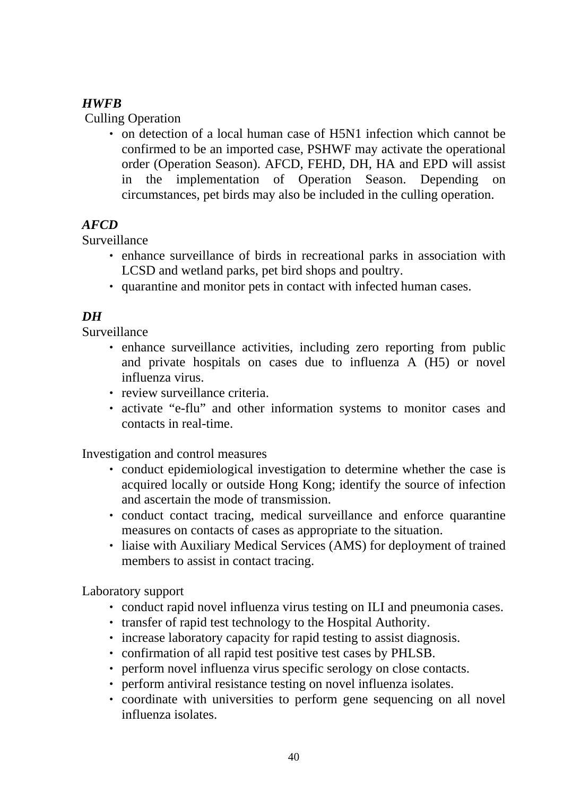# *HWFB*

Culling Operation

‧ on detection of a local human case of H5N1 infection which cannot be confirmed to be an imported case, PSHWF may activate the operational order (Operation Season). AFCD, FEHD, DH, HA and EPD will assist in the implementation of Operation Season. Depending on circumstances, pet birds may also be included in the culling operation.

### *AFCD*

Surveillance

- ‧ enhance surveillance of birds in recreational parks in association with LCSD and wetland parks, pet bird shops and poultry.
- ‧ quarantine and monitor pets in contact with infected human cases.

# *DH*

Surveillance

- enhance surveillance activities, including zero reporting from public and private hospitals on cases due to influenza A (H5) or novel influenza virus.
- ‧ review surveillance criteria.
- ‧ activate "e-flu" and other information systems to monitor cases and contacts in real-time.

Investigation and control measures

- ‧ conduct epidemiological investigation to determine whether the case is acquired locally or outside Hong Kong; identify the source of infection and ascertain the mode of transmission.
- ‧ conduct contact tracing, medical surveillance and enforce quarantine measures on contacts of cases as appropriate to the situation.
- ‧ liaise with Auxiliary Medical Services (AMS) for deployment of trained members to assist in contact tracing.

Laboratory support

- ‧ conduct rapid novel influenza virus testing on ILI and pneumonia cases.
- ‧ transfer of rapid test technology to the Hospital Authority.
- ‧ increase laboratory capacity for rapid testing to assist diagnosis.
- ‧ confirmation of all rapid test positive test cases by PHLSB.
- ‧ perform novel influenza virus specific serology on close contacts.
- perform antiviral resistance testing on novel influenza isolates.
- ‧ coordinate with universities to perform gene sequencing on all novel influenza isolates.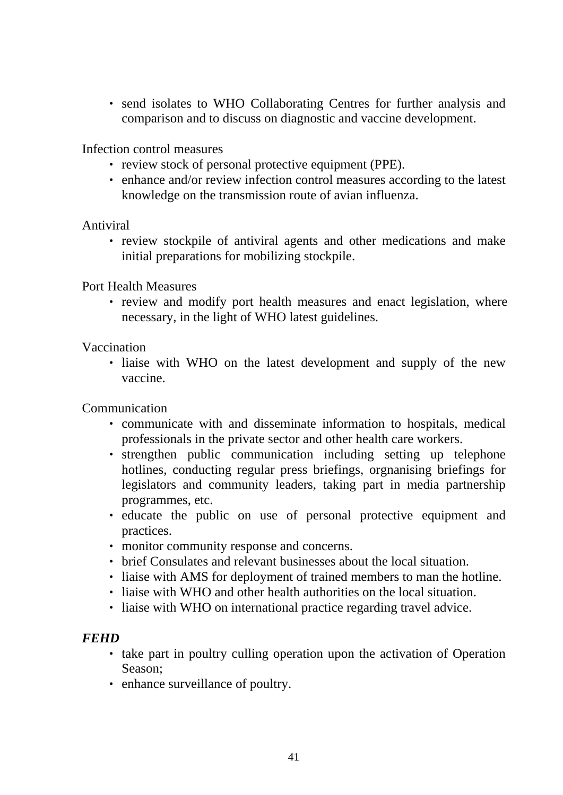• send isolates to WHO Collaborating Centres for further analysis and comparison and to discuss on diagnostic and vaccine development.

Infection control measures

- ‧ review stock of personal protective equipment (PPE).
- enhance and/or review infection control measures according to the latest knowledge on the transmission route of avian influenza.

Antiviral

‧ review stockpile of antiviral agents and other medications and make initial preparations for mobilizing stockpile.

#### Port Health Measures

• review and modify port health measures and enact legislation, where necessary, in the light of WHO latest guidelines.

#### Vaccination

• liaise with WHO on the latest development and supply of the new vaccine.

**Communication** 

- ‧ communicate with and disseminate information to hospitals, medical professionals in the private sector and other health care workers.
- ‧ strengthen public communication including setting up telephone hotlines, conducting regular press briefings, orgnanising briefings for legislators and community leaders, taking part in media partnership programmes, etc.
- ‧ educate the public on use of personal protective equipment and practices.
- ‧ monitor community response and concerns.
- ‧ brief Consulates and relevant businesses about the local situation.
- ‧ liaise with AMS for deployment of trained members to man the hotline.
- ‧ liaise with WHO and other health authorities on the local situation.
- ‧ liaise with WHO on international practice regarding travel advice.

- ‧ take part in poultry culling operation upon the activation of Operation Season;
- ‧ enhance surveillance of poultry.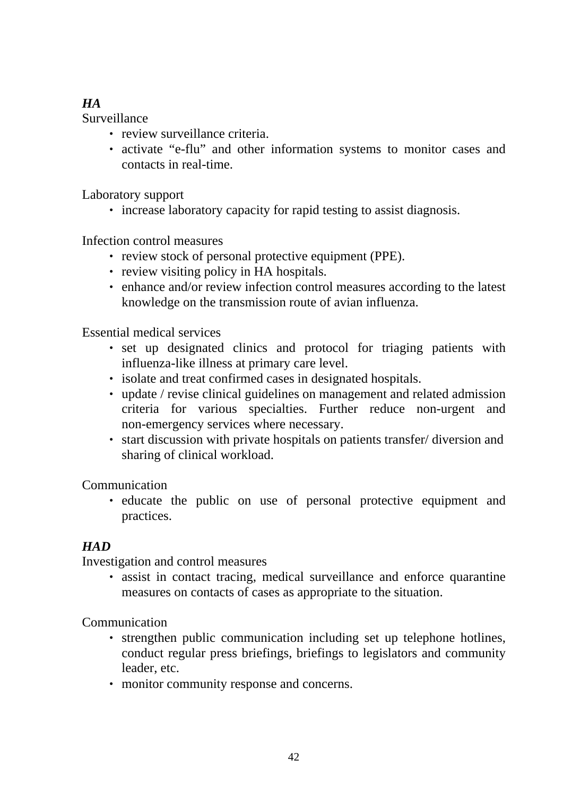# *HA*

Surveillance

- ‧ review surveillance criteria.
- ‧ activate "e-flu" and other information systems to monitor cases and contacts in real-time.

Laboratory support

• increase laboratory capacity for rapid testing to assist diagnosis.

Infection control measures

- ‧ review stock of personal protective equipment (PPE).
- review visiting policy in HA hospitals.
- ‧ enhance and/or review infection control measures according to the latest knowledge on the transmission route of avian influenza.

Essential medical services

- ‧ set up designated clinics and protocol for triaging patients with influenza-like illness at primary care level.
- ‧ isolate and treat confirmed cases in designated hospitals.
- ‧ update / revise clinical guidelines on management and related admission criteria for various specialties. Further reduce non-urgent and non-emergency services where necessary.
- ‧ start discussion with private hospitals on patients transfer/ diversion and sharing of clinical workload.

Communication

‧ educate the public on use of personal protective equipment and practices.

# *HAD*

Investigation and control measures

‧ assist in contact tracing, medical surveillance and enforce quarantine measures on contacts of cases as appropriate to the situation.

Communication

- ‧ strengthen public communication including set up telephone hotlines, conduct regular press briefings, briefings to legislators and community leader, etc.
- ‧ monitor community response and concerns.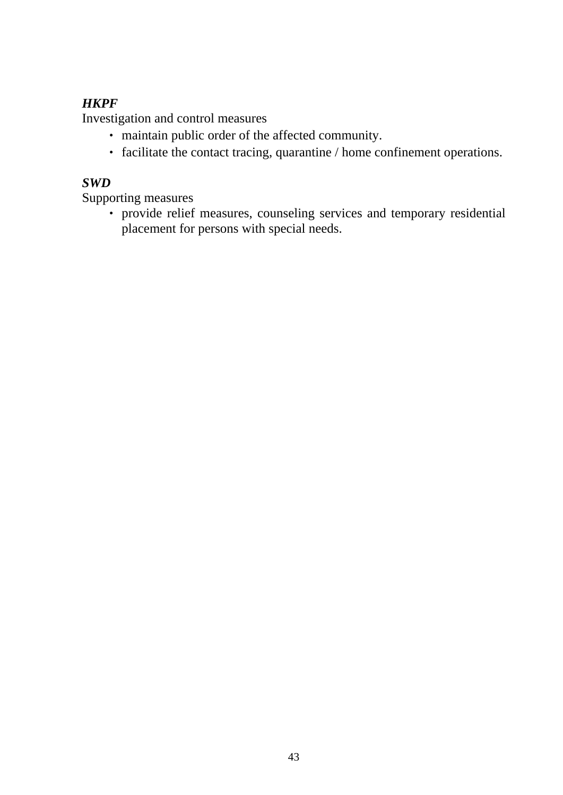# *HKPF*

Investigation and control measures

- ‧ maintain public order of the affected community.
- ‧ facilitate the contact tracing, quarantine / home confinement operations.

# *SWD*

Supporting measures

‧ provide relief measures, counseling services and temporary residential placement for persons with special needs.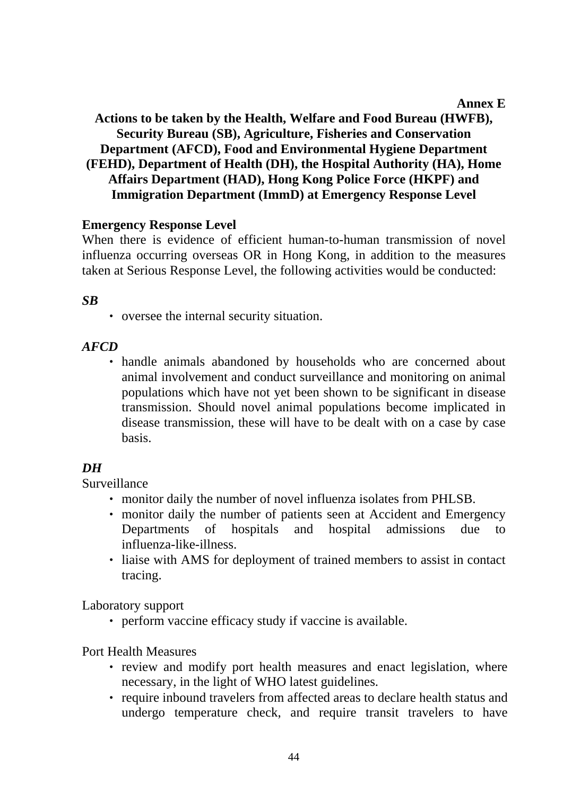#### **Annex E**

# **Actions to be taken by the Health, Welfare and Food Bureau (HWFB), Security Bureau (SB), Agriculture, Fisheries and Conservation Department (AFCD), Food and Environmental Hygiene Department (FEHD), Department of Health (DH), the Hospital Authority (HA), Home Affairs Department (HAD), Hong Kong Police Force (HKPF) and Immigration Department (ImmD) at Emergency Response Level**

#### **Emergency Response Level**

When there is evidence of efficient human-to-human transmission of novel influenza occurring overseas OR in Hong Kong, in addition to the measures taken at Serious Response Level, the following activities would be conducted:

#### *SB*

‧ oversee the internal security situation.

#### *AFCD*

‧ handle animals abandoned by households who are concerned about animal involvement and conduct surveillance and monitoring on animal populations which have not yet been shown to be significant in disease transmission. Should novel animal populations become implicated in disease transmission, these will have to be dealt with on a case by case basis.

#### *DH*

Surveillance

- ‧ monitor daily the number of novel influenza isolates from PHLSB.
- ‧ monitor daily the number of patients seen at Accident and Emergency Departments of hospitals and hospital admissions due to influenza-like-illness.
- ‧ liaise with AMS for deployment of trained members to assist in contact tracing.

Laboratory support

‧ perform vaccine efficacy study if vaccine is available.

Port Health Measures

- review and modify port health measures and enact legislation, where necessary, in the light of WHO latest guidelines.
- ‧ require inbound travelers from affected areas to declare health status and undergo temperature check, and require transit travelers to have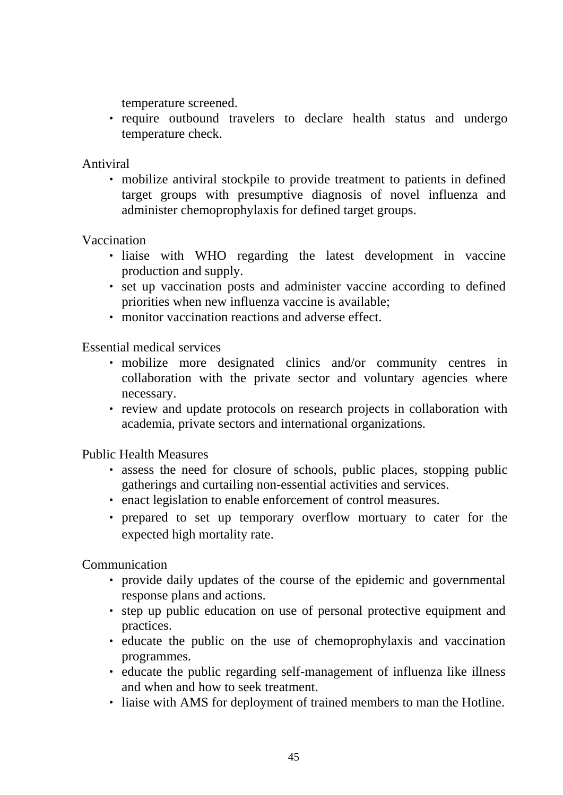temperature screened.

‧ require outbound travelers to declare health status and undergo temperature check.

Antiviral

‧ mobilize antiviral stockpile to provide treatment to patients in defined target groups with presumptive diagnosis of novel influenza and administer chemoprophylaxis for defined target groups.

Vaccination

- ‧ liaise with WHO regarding the latest development in vaccine production and supply.
- ‧ set up vaccination posts and administer vaccine according to defined priorities when new influenza vaccine is available;
- ‧ monitor vaccination reactions and adverse effect.

Essential medical services

- mobilize more designated clinics and/or community centres in collaboration with the private sector and voluntary agencies where necessary.
- ‧ review and update protocols on research projects in collaboration with academia, private sectors and international organizations.

Public Health Measures

- ‧ assess the need for closure of schools, public places, stopping public gatherings and curtailing non-essential activities and services.
- ‧ enact legislation to enable enforcement of control measures.
- ‧ prepared to set up temporary overflow mortuary to cater for the expected high mortality rate.

Communication

- ‧ provide daily updates of the course of the epidemic and governmental response plans and actions.
- ‧ step up public education on use of personal protective equipment and practices.
- ‧ educate the public on the use of chemoprophylaxis and vaccination programmes.
- ‧ educate the public regarding self-management of influenza like illness and when and how to seek treatment.
- ‧ liaise with AMS for deployment of trained members to man the Hotline.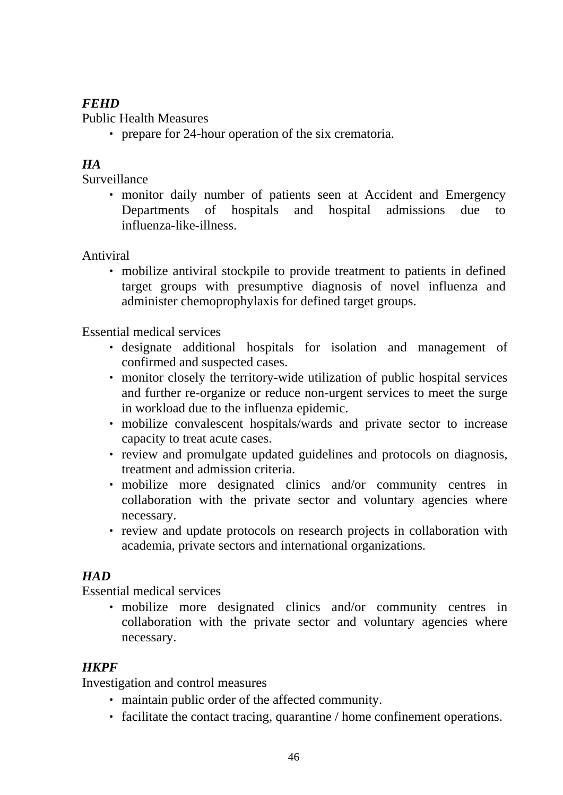# *FEHD*

Public Health Measures

• prepare for 24-hour operation of the six crematoria.

# *HA*

Surveillance

• monitor daily number of patients seen at Accident and Emergency Departments of hospitals and hospital admissions due to influenza-like-illness.

Antiviral

‧ mobilize antiviral stockpile to provide treatment to patients in defined target groups with presumptive diagnosis of novel influenza and administer chemoprophylaxis for defined target groups.

Essential medical services

- ‧ designate additional hospitals for isolation and management of confirmed and suspected cases.
- ‧ monitor closely the territory-wide utilization of public hospital services and further re-organize or reduce non-urgent services to meet the surge in workload due to the influenza epidemic.
- ‧ mobilize convalescent hospitals/wards and private sector to increase capacity to treat acute cases.
- ‧ review and promulgate updated guidelines and protocols on diagnosis, treatment and admission criteria.
- mobilize more designated clinics and/or community centres in collaboration with the private sector and voluntary agencies where necessary.
- ‧ review and update protocols on research projects in collaboration with academia, private sectors and international organizations.

# *HAD*

Essential medical services

• mobilize more designated clinics and/or community centres in collaboration with the private sector and voluntary agencies where necessary.

# *HKPF*

Investigation and control measures

- ‧ maintain public order of the affected community.
- ‧ facilitate the contact tracing, quarantine / home confinement operations.